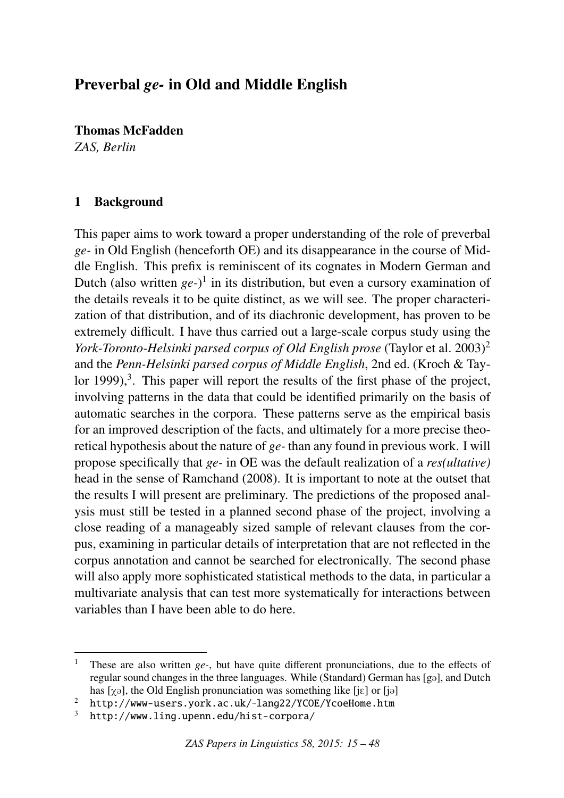# Preverbal *ge-* in Old and Middle English

Thomas McFadden *ZAS, Berlin*

#### 1 Background

This paper aims to work toward a proper understanding of the role of preverbal *ge-* in Old English (henceforth OE) and its disappearance in the course of Middle English. This prefix is reminiscent of its cognates in Modern German and Dutch (also written *ge-*) <sup>1</sup> in its distribution, but even a cursory examination of the details reveals it to be quite distinct, as we will see. The proper characterization of that distribution, and of its diachronic development, has proven to be extremely difficult. I have thus carried out a large-scale corpus study using the *York-Toronto-Helsinki parsed corpus of Old English prose* (Taylor et al. 2003)2 and the *Penn-Helsinki parsed corpus of Middle English*, 2nd ed. (Kroch & Taylor 1999),<sup>3</sup>. This paper will report the results of the first phase of the project, involving patterns in the data that could be identified primarily on the basis of automatic searches in the corpora. These patterns serve as the empirical basis for an improved description of the facts, and ultimately for a more precise theoretical hypothesis about the nature of *ge-* than any found in previous work. I will propose specifically that *ge-* in OE was the default realization of a *res(ultative)* head in the sense of Ramchand (2008). It is important to note at the outset that the results I will present are preliminary. The predictions of the proposed analysis must still be tested in a planned second phase of the project, involving a close reading of a manageably sized sample of relevant clauses from the corpus, examining in particular details of interpretation that are not reflected in the corpus annotation and cannot be searched for electronically. The second phase will also apply more sophisticated statistical methods to the data, in particular a multivariate analysis that can test more systematically for interactions between variables than I have been able to do here.

These are also written *ge*-, but have quite different pronunciations, due to the effects of regular sound changes in the three languages. While (Standard) German has [go], and Dutch has [ $\gamma$ <sup>o</sup>], the Old English pronunciation was something like [ $j\epsilon$ ] or [ $j\delta$ ]

<sup>2</sup> http://www-users.york.ac.uk/~lang22/YCOE/YcoeHome.htm

<sup>3</sup> http://www.ling.upenn.edu/hist-corpora/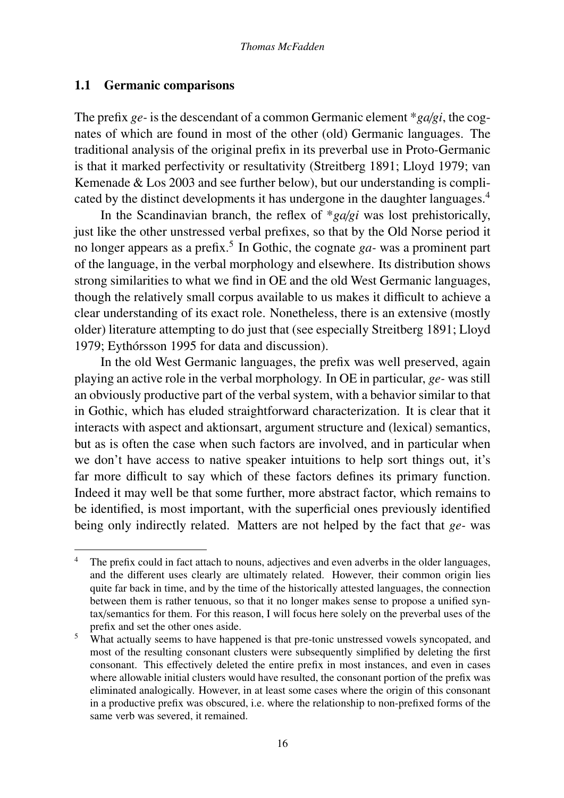#### 1.1 Germanic comparisons

The prefix *ge-* is the descendant of a common Germanic element \**ga*/*gi*, the cognates of which are found in most of the other (old) Germanic languages. The traditional analysis of the original prefix in its preverbal use in Proto-Germanic is that it marked perfectivity or resultativity (Streitberg 1891; Lloyd 1979; van Kemenade & Los 2003 and see further below), but our understanding is complicated by the distinct developments it has undergone in the daughter languages.<sup>4</sup>

In the Scandinavian branch, the reflex of \**ga*/*gi* was lost prehistorically, just like the other unstressed verbal prefixes, so that by the Old Norse period it no longer appears as a prefix.<sup>5</sup> In Gothic, the cognate *ga-* was a prominent part of the language, in the verbal morphology and elsewhere. Its distribution shows strong similarities to what we find in OE and the old West Germanic languages, though the relatively small corpus available to us makes it difficult to achieve a clear understanding of its exact role. Nonetheless, there is an extensive (mostly older) literature attempting to do just that (see especially Streitberg 1891; Lloyd 1979; Eythórsson 1995 for data and discussion).

In the old West Germanic languages, the prefix was well preserved, again playing an active role in the verbal morphology. In OE in particular, *ge-* was still an obviously productive part of the verbal system, with a behavior similar to that in Gothic, which has eluded straightforward characterization. It is clear that it interacts with aspect and aktionsart, argument structure and (lexical) semantics, but as is often the case when such factors are involved, and in particular when we don't have access to native speaker intuitions to help sort things out, it's far more difficult to say which of these factors defines its primary function. Indeed it may well be that some further, more abstract factor, which remains to be identified, is most important, with the superficial ones previously identified being only indirectly related. Matters are not helped by the fact that *ge-* was

<sup>&</sup>lt;sup>4</sup> The prefix could in fact attach to nouns, adjectives and even adverbs in the older languages, and the different uses clearly are ultimately related. However, their common origin lies quite far back in time, and by the time of the historically attested languages, the connection between them is rather tenuous, so that it no longer makes sense to propose a unified syntax/semantics for them. For this reason, I will focus here solely on the preverbal uses of the prefix and set the other ones aside.

<sup>&</sup>lt;sup>5</sup> What actually seems to have happened is that pre-tonic unstressed vowels syncopated, and most of the resulting consonant clusters were subsequently simplified by deleting the first consonant. This effectively deleted the entire prefix in most instances, and even in cases where allowable initial clusters would have resulted, the consonant portion of the prefix was eliminated analogically. However, in at least some cases where the origin of this consonant in a productive prefix was obscured, i.e. where the relationship to non-prefixed forms of the same verb was severed, it remained.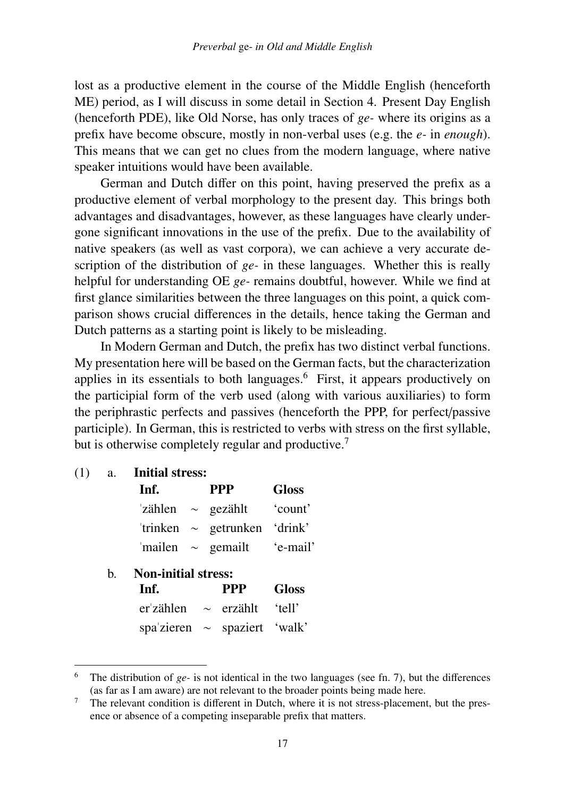lost as a productive element in the course of the Middle English (henceforth ME) period, as I will discuss in some detail in Section 4. Present Day English (henceforth PDE), like Old Norse, has only traces of *ge-* where its origins as a prefix have become obscure, mostly in non-verbal uses (e.g. the *e-* in *enough*). This means that we can get no clues from the modern language, where native speaker intuitions would have been available.

German and Dutch differ on this point, having preserved the prefix as a productive element of verbal morphology to the present day. This brings both advantages and disadvantages, however, as these languages have clearly undergone significant innovations in the use of the prefix. Due to the availability of native speakers (as well as vast corpora), we can achieve a very accurate description of the distribution of *ge-* in these languages. Whether this is really helpful for understanding OE *ge-* remains doubtful, however. While we find at first glance similarities between the three languages on this point, a quick comparison shows crucial differences in the details, hence taking the German and Dutch patterns as a starting point is likely to be misleading.

In Modern German and Dutch, the prefix has two distinct verbal functions. My presentation here will be based on the German facts, but the characterization applies in its essentials to both languages.<sup>6</sup> First, it appears productively on the participial form of the verb used (along with various auxiliaries) to form the periphrastic perfects and passives (henceforth the PPP, for perfect/passive participle). In German, this is restricted to verbs with stress on the first syllable, but is otherwise completely regular and productive.<sup>7</sup>

| (1) |    | a. <b>Initial stress:</b>  |  |                                   |              |  |
|-----|----|----------------------------|--|-----------------------------------|--------------|--|
|     |    | Inf.                       |  | <b>PPP</b>                        | <b>Gloss</b> |  |
|     |    | zählen $\sim$ gezählt      |  |                                   | count'       |  |
|     |    |                            |  | 'trinken $\sim$ getrunken 'drink' |              |  |
|     |    |                            |  | $'$ mailen ~ gemailt $'e$ -mail'  |              |  |
|     | h. | <b>Non-initial stress:</b> |  |                                   |              |  |
|     |    | Inf.                       |  | <b>PPP</b>                        | <b>Gloss</b> |  |
|     |    |                            |  | $er'zählen \sim erzählt 'tell'$   |              |  |
|     |    |                            |  | spa'zieren $\sim$ spaziert 'walk' |              |  |
|     |    |                            |  |                                   |              |  |

The distribution of *ge*- is not identical in the two languages (see fn. 7), but the differences (as far as I am aware) are not relevant to the broader points being made here.

 $\frac{7}{1}$  The relevant condition is different in Dutch, where it is not stress-placement, but the presence or absence of a competing inseparable prefix that matters.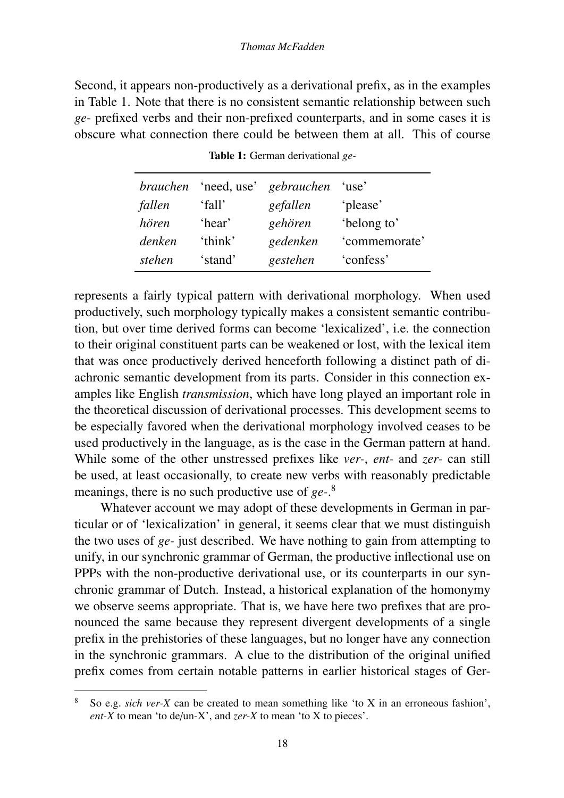Second, it appears non-productively as a derivational prefix, as in the examples in Table 1. Note that there is no consistent semantic relationship between such *ge*- prefixed verbs and their non-prefixed counterparts, and in some cases it is obscure what connection there could be between them at all. This of course

| <i>brauchen</i> | 'need, use' | gebrauchen | 'use'         |
|-----------------|-------------|------------|---------------|
| fallen          | 'fall'      | gefallen   | 'please'      |
| hören           | 'hear'      | gehören    | 'belong to'   |
| denken          | 'think'     | gedenken   | 'commemorate' |
| stehen          | 'stand'     | gestehen   | 'confess'     |

Table 1: German derivational *ge-*

represents a fairly typical pattern with derivational morphology. When used productively, such morphology typically makes a consistent semantic contribution, but over time derived forms can become 'lexicalized', i.e. the connection to their original constituent parts can be weakened or lost, with the lexical item that was once productively derived henceforth following a distinct path of diachronic semantic development from its parts. Consider in this connection examples like English *transmission*, which have long played an important role in the theoretical discussion of derivational processes. This development seems to be especially favored when the derivational morphology involved ceases to be used productively in the language, as is the case in the German pattern at hand. While some of the other unstressed prefixes like *ver-*, *ent-* and *zer-* can still be used, at least occasionally, to create new verbs with reasonably predictable meanings, there is no such productive use of *ge-*. 8

Whatever account we may adopt of these developments in German in particular or of 'lexicalization' in general, it seems clear that we must distinguish the two uses of *ge-* just described. We have nothing to gain from attempting to unify, in our synchronic grammar of German, the productive inflectional use on PPPs with the non-productive derivational use, or its counterparts in our synchronic grammar of Dutch. Instead, a historical explanation of the homonymy we observe seems appropriate. That is, we have here two prefixes that are pronounced the same because they represent divergent developments of a single prefix in the prehistories of these languages, but no longer have any connection in the synchronic grammars. A clue to the distribution of the original unified prefix comes from certain notable patterns in earlier historical stages of Ger-

<sup>8</sup> So e.g. *sich ver-X* can be created to mean something like 'to X in an erroneous fashion', *ent-X* to mean 'to de/un-X', and *zer-X* to mean 'to X to pieces'.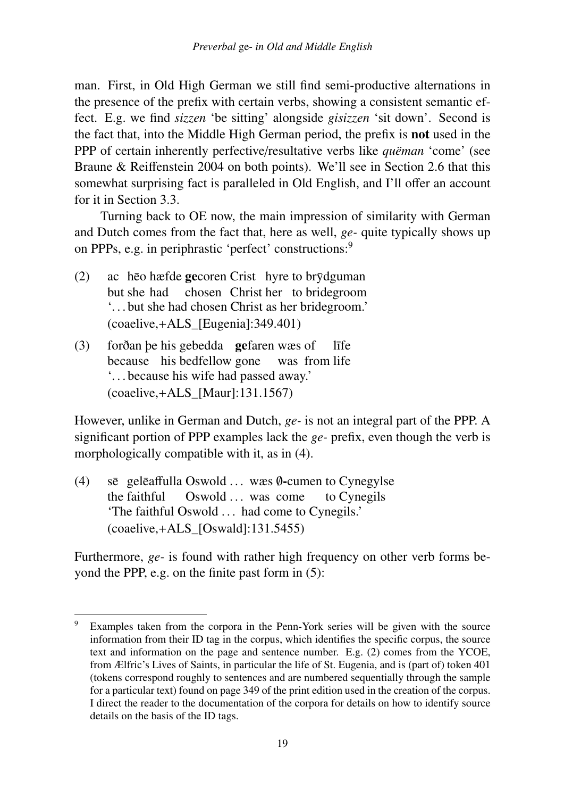man. First, in Old High German we still find semi-productive alternations in the presence of the prefix with certain verbs, showing a consistent semantic effect. E.g. we find *sizzen* 'be sitting' alongside *gisizzen* 'sit down'. Second is the fact that, into the Middle High German period, the prefix is not used in the PPP of certain inherently perfective/resultative verbs like *quëman* 'come' (see Braune & Reiffenstein 2004 on both points). We'll see in Section 2.6 that this somewhat surprising fact is paralleled in Old English, and I'll offer an account for it in Section 3.3.

Turning back to OE now, the main impression of similarity with German and Dutch comes from the fact that, here as well, *ge-* quite typically shows up on PPPs, e.g. in periphrastic 'perfect' constructions:9

- $(2)$ but she had hēo hæfde gecoren Crist hyre to brydguman chosen Christ her to bridegroom '. . . but she had chosen Christ as her bridegroom.' (coaelive,+ALS\_[Eugenia]:349.401)
- (3) forðan þe his gebedda gefaren wæs of because his bedfellow gone was from life life '. . . because his wife had passed away.' (coaelive,+ALS\_[Maur]:131.1567)

However, unlike in German and Dutch, *ge-* is not an integral part of the PPP. A significant portion of PPP examples lack the *ge-* prefix, even though the verb is morphologically compatible with it, as in (4).

 $(4)$ the faithful gelēaffulla Oswold ... wæs Ø-cumen to Cynegylse Oswold ... was come to Cynegils 'The faithful Oswold . . . had come to Cynegils.' (coaelive,+ALS\_[Oswald]:131.5455)

Furthermore, *ge-* is found with rather high frequency on other verb forms beyond the PPP, e.g. on the finite past form in (5):

Examples taken from the corpora in the Penn-York series will be given with the source information from their ID tag in the corpus, which identifies the specific corpus, the source text and information on the page and sentence number. E.g. (2) comes from the YCOE, from Ælfric's Lives of Saints, in particular the life of St. Eugenia, and is (part of) token 401 (tokens correspond roughly to sentences and are numbered sequentially through the sample for a particular text) found on page 349 of the print edition used in the creation of the corpus. I direct the reader to the documentation of the corpora for details on how to identify source details on the basis of the ID tags.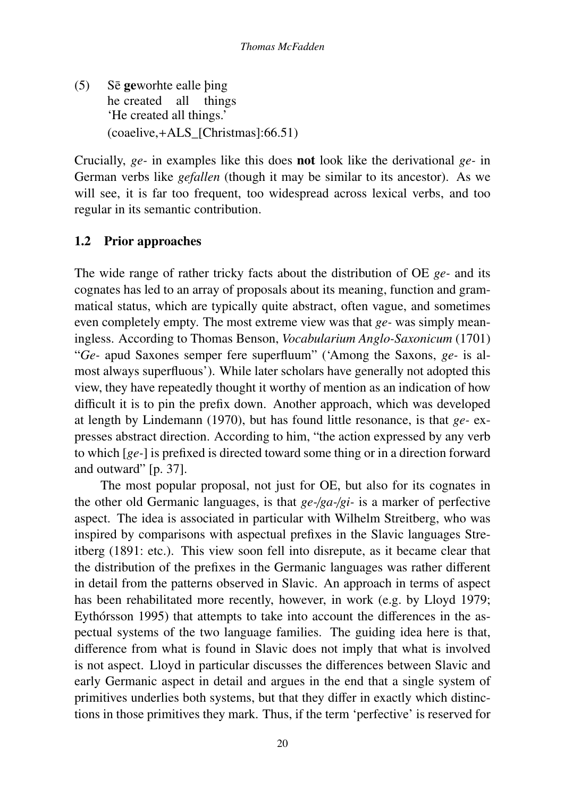$(5)$ he created geworhte ealle þing all things 'He created all things.' (coaelive,+ALS\_[Christmas]:66.51)

Crucially, *ge-* in examples like this does not look like the derivational *ge-* in German verbs like *gefallen* (though it may be similar to its ancestor). As we will see, it is far too frequent, too widespread across lexical verbs, and too regular in its semantic contribution.

# 1.2 Prior approaches

The wide range of rather tricky facts about the distribution of OE *ge-* and its cognates has led to an array of proposals about its meaning, function and grammatical status, which are typically quite abstract, often vague, and sometimes even completely empty. The most extreme view was that *ge-* was simply meaningless. According to Thomas Benson, *Vocabularium Anglo-Saxonicum* (1701) "*Ge-* apud Saxones semper fere superfluum" ('Among the Saxons, *ge-* is almost always superfluous'). While later scholars have generally not adopted this view, they have repeatedly thought it worthy of mention as an indication of how difficult it is to pin the prefix down. Another approach, which was developed at length by Lindemann (1970), but has found little resonance, is that *ge-* expresses abstract direction. According to him, "the action expressed by any verb to which [*ge-*] is prefixed is directed toward some thing or in a direction forward and outward" [p. 37].

The most popular proposal, not just for OE, but also for its cognates in the other old Germanic languages, is that *ge-*/*ga-*/*gi-* is a marker of perfective aspect. The idea is associated in particular with Wilhelm Streitberg, who was inspired by comparisons with aspectual prefixes in the Slavic languages Streitberg (1891: etc.). This view soon fell into disrepute, as it became clear that the distribution of the prefixes in the Germanic languages was rather different in detail from the patterns observed in Slavic. An approach in terms of aspect has been rehabilitated more recently, however, in work (e.g. by Lloyd 1979; Eythórsson 1995) that attempts to take into account the differences in the aspectual systems of the two language families. The guiding idea here is that, difference from what is found in Slavic does not imply that what is involved is not aspect. Lloyd in particular discusses the differences between Slavic and early Germanic aspect in detail and argues in the end that a single system of primitives underlies both systems, but that they differ in exactly which distinctions in those primitives they mark. Thus, if the term 'perfective' is reserved for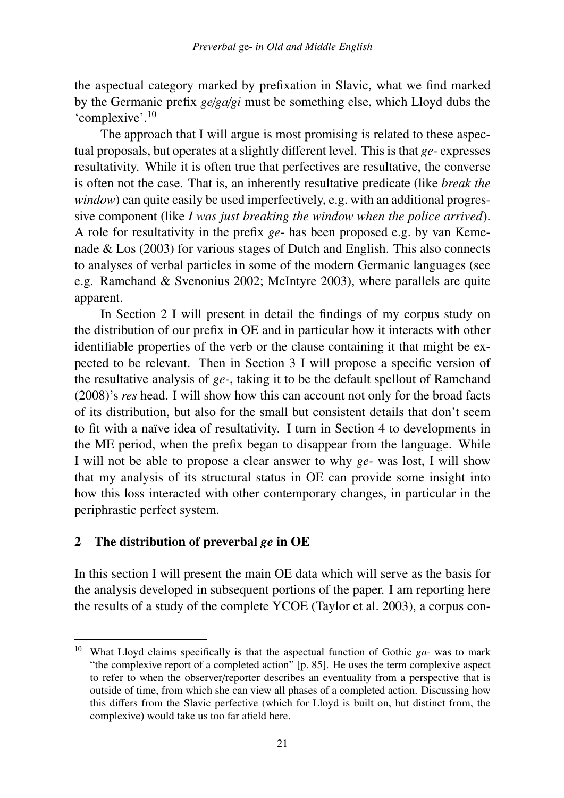the aspectual category marked by prefixation in Slavic, what we find marked by the Germanic prefix *ge*/*ga*/*gi* must be something else, which Lloyd dubs the 'complexive'.10

The approach that I will argue is most promising is related to these aspectual proposals, but operates at a slightly different level. This is that *ge*-expresses resultativity. While it is often true that perfectives are resultative, the converse is often not the case. That is, an inherently resultative predicate (like *break the window*) can quite easily be used imperfectively, e.g. with an additional progressive component (like *I was just breaking the window when the police arrived*). A role for resultativity in the prefix *ge-* has been proposed e.g. by van Kemenade & Los (2003) for various stages of Dutch and English. This also connects to analyses of verbal particles in some of the modern Germanic languages (see e.g. Ramchand & Svenonius 2002; McIntyre 2003), where parallels are quite apparent.

In Section 2 I will present in detail the findings of my corpus study on the distribution of our prefix in OE and in particular how it interacts with other identifiable properties of the verb or the clause containing it that might be expected to be relevant. Then in Section 3 I will propose a specific version of the resultative analysis of *ge-*, taking it to be the default spellout of Ramchand (2008)'s *res* head. I will show how this can account not only for the broad facts of its distribution, but also for the small but consistent details that don't seem to fit with a naïve idea of resultativity. I turn in Section 4 to developments in the ME period, when the prefix began to disappear from the language. While I will not be able to propose a clear answer to why *ge-* was lost, I will show that my analysis of its structural status in OE can provide some insight into how this loss interacted with other contemporary changes, in particular in the periphrastic perfect system.

### 2 The distribution of preverbal *ge* in OE

In this section I will present the main OE data which will serve as the basis for the analysis developed in subsequent portions of the paper. I am reporting here the results of a study of the complete YCOE (Taylor et al. 2003), a corpus con-

<sup>10</sup> What Lloyd claims specifically is that the aspectual function of Gothic *ga-* was to mark "the complexive report of a completed action" [p. 85]. He uses the term complexive aspect to refer to when the observer/reporter describes an eventuality from a perspective that is outside of time, from which she can view all phases of a completed action. Discussing how this differs from the Slavic perfective (which for Lloyd is built on, but distinct from, the complexive) would take us too far afield here.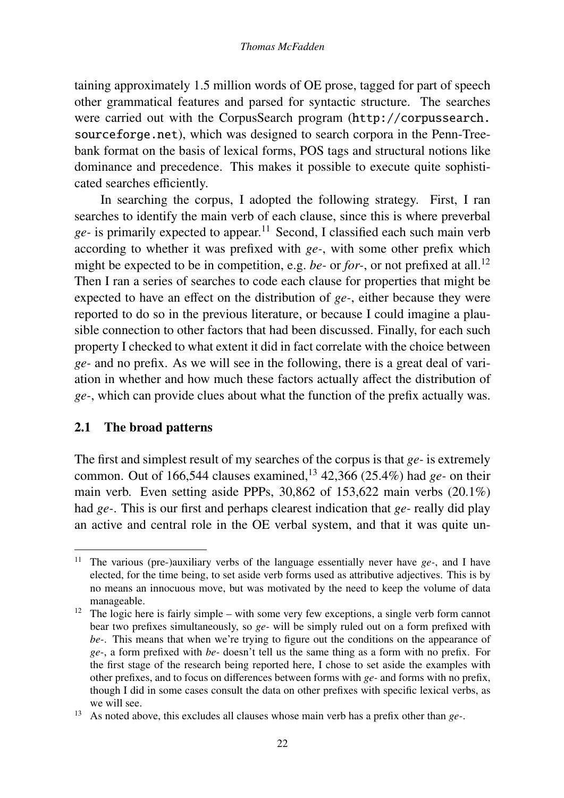taining approximately 1.5 million words of OE prose, tagged for part of speech other grammatical features and parsed for syntactic structure. The searches were carried out with the CorpusSearch program (http://corpussearch. sourceforge.net), which was designed to search corpora in the Penn-Treebank format on the basis of lexical forms, POS tags and structural notions like dominance and precedence. This makes it possible to execute quite sophisticated searches efficiently.

In searching the corpus, I adopted the following strategy. First, I ran searches to identify the main verb of each clause, since this is where preverbal  $ge-$  is primarily expected to appear.<sup>11</sup> Second, I classified each such main verb according to whether it was prefixed with *ge-*, with some other prefix which might be expected to be in competition, e.g. *be*- or *for*-, or not prefixed at all.<sup>12</sup> Then I ran a series of searches to code each clause for properties that might be expected to have an effect on the distribution of *ge*-, either because they were reported to do so in the previous literature, or because I could imagine a plausible connection to other factors that had been discussed. Finally, for each such property I checked to what extent it did in fact correlate with the choice between *ge-* and no prefix. As we will see in the following, there is a great deal of variation in whether and how much these factors actually affect the distribution of *ge-*, which can provide clues about what the function of the prefix actually was.

### 2.1 The broad patterns

The first and simplest result of my searches of the corpus is that *ge-* is extremely common. Out of 166,544 clauses examined,<sup>13</sup> 42,366 (25.4%) had *ge-* on their main verb. Even setting aside PPPs, 30,862 of 153,622 main verbs (20.1%) had *ge-*. This is our first and perhaps clearest indication that *ge-* really did play an active and central role in the OE verbal system, and that it was quite un-

<sup>11</sup> The various (pre-)auxiliary verbs of the language essentially never have *ge-*, and I have elected, for the time being, to set aside verb forms used as attributive adjectives. This is by no means an innocuous move, but was motivated by the need to keep the volume of data manageable.

<sup>&</sup>lt;sup>12</sup> The logic here is fairly simple – with some very few exceptions, a single verb form cannot bear two prefixes simultaneously, so *ge-* will be simply ruled out on a form prefixed with *be-*. This means that when we're trying to figure out the conditions on the appearance of *ge-*, a form prefixed with *be-* doesn't tell us the same thing as a form with no prefix. For the first stage of the research being reported here, I chose to set aside the examples with other prefixes, and to focus on differences between forms with *ge*- and forms with no prefix, though I did in some cases consult the data on other prefixes with specific lexical verbs, as we will see.

<sup>13</sup> As noted above, this excludes all clauses whose main verb has a prefix other than *ge-*.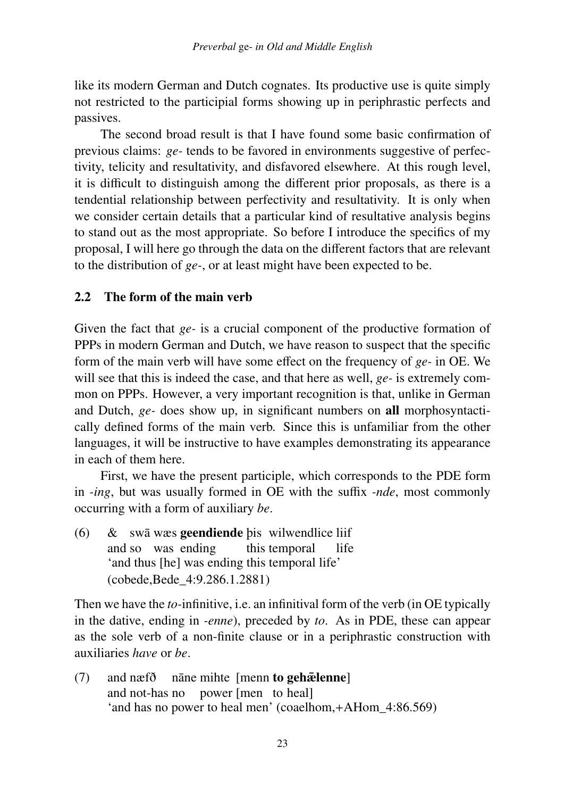like its modern German and Dutch cognates. Its productive use is quite simply not restricted to the participial forms showing up in periphrastic perfects and passives.

The second broad result is that I have found some basic confirmation of previous claims: *ge-* tends to be favored in environments suggestive of perfectivity, telicity and resultativity, and disfavored elsewhere. At this rough level, it is difficult to distinguish among the different prior proposals, as there is a tendential relationship between perfectivity and resultativity. It is only when we consider certain details that a particular kind of resultative analysis begins to stand out as the most appropriate. So before I introduce the specifics of my proposal, I will here go through the data on the different factors that are relevant to the distribution of *ge-*, or at least might have been expected to be.

#### 2.2 The form of the main verb

Given the fact that *ge-* is a crucial component of the productive formation of PPPs in modern German and Dutch, we have reason to suspect that the specific form of the main verb will have some effect on the frequency of *ge*- in OE. We will see that this is indeed the case, and that here as well, *ge-* is extremely common on PPPs. However, a very important recognition is that, unlike in German and Dutch, *ge-* does show up, in significant numbers on all morphosyntactically defined forms of the main verb. Since this is unfamiliar from the other languages, it will be instructive to have examples demonstrating its appearance in each of them here.

First, we have the present participle, which corresponds to the PDE form in *-ing*, but was usually formed in OE with the suffix *-nde*, most commonly occurring with a form of auxiliary *be*.

 $(6)$ and so was ending swā wæs geendiende bis wilwendlice liif this temporal life 'and thus [he] was ending this temporal life' (cobede,Bede\_4:9.286.1.2881)

Then we have the *to-*infinitive, i.e. an infinitival form of the verb (in OE typically in the dative, ending in *-enne*), preceded by *to*. As in PDE, these can appear as the sole verb of a non-finite clause or in a periphrastic construction with auxiliaries *have* or *be*.

 $(7)$  and næfð nāne mihte [menn to gehælenne] and not-has no power [men to heal] 'and has no power to heal men' (coaelhom,+AHom\_4:86.569)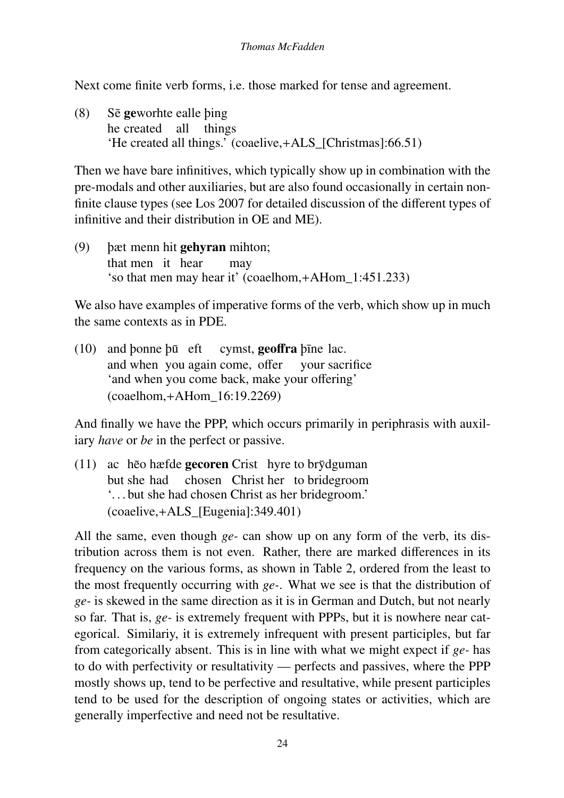Next come finite verb forms, i.e. those marked for tense and agreement.

 $(8)$ he created all geworhte ealle þing things 'He created all things.' (coaelive,+ALS\_[Christmas]:66.51)

Then we have bare infinitives, which typically show up in combination with the pre-modals and other auxiliaries, but are also found occasionally in certain nonfinite clause types (see Los 2007 for detailed discussion of the different types of infinitive and their distribution in OE and ME).

(9) þæt menn hit **gehyran** mihton; that men it hear may 'so that men may hear it' (coaelhom,+AHom\_1:451.233)

We also have examples of imperative forms of the verb, which show up in much the same contexts as in PDE.

(10) and þonne þu¯ eft and when you again come, offer cymst, geoffra þīne lac. your sacrifice 'and when you come back, make your offering' (coaelhom,+AHom\_16:19.2269)

And finally we have the PPP, which occurs primarily in periphrasis with auxiliary *have* or *be* in the perfect or passive.

(11) ac heo hæfde **gecoren** Crist hyre to brydguman but she had chosen Christ her to bridegroom '. . . but she had chosen Christ as her bridegroom.' (coaelive,+ALS\_[Eugenia]:349.401)

All the same, even though *ge-* can show up on any form of the verb, its distribution across them is not even. Rather, there are marked differences in its frequency on the various forms, as shown in Table 2, ordered from the least to the most frequently occurring with *ge-*. What we see is that the distribution of *ge-* is skewed in the same direction as it is in German and Dutch, but not nearly so far. That is, *ge-* is extremely frequent with PPPs, but it is nowhere near categorical. Similariy, it is extremely infrequent with present participles, but far from categorically absent. This is in line with what we might expect if *ge-* has to do with perfectivity or resultativity — perfects and passives, where the PPP mostly shows up, tend to be perfective and resultative, while present participles tend to be used for the description of ongoing states or activities, which are generally imperfective and need not be resultative.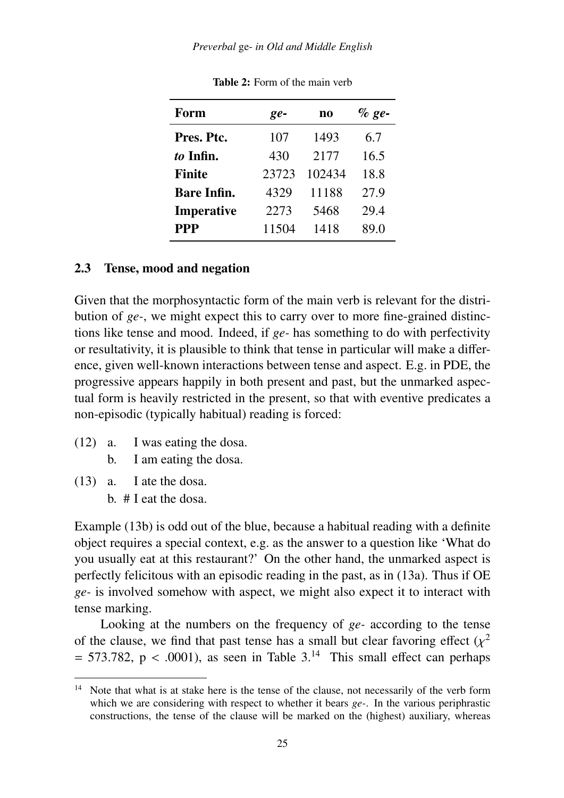*Preverbal* ge- *in Old and Middle English*

| Form               | ge-   | $\bf{no}$ | $%ee-$ |
|--------------------|-------|-----------|--------|
| Pres. Ptc.         | 107   | 1493      | 6.7    |
| to Infin.          | 430   | 2177      | 16.5   |
| <b>Finite</b>      | 23723 | 102434    | 18.8   |
| <b>Bare Infin.</b> | 4329  | 11188     | 27.9   |
| <b>Imperative</b>  | 2273  | 5468      | 29.4   |
| <b>PPP</b>         | 11504 | 1418      | 89.0   |

Table 2: Form of the main verb

### 2.3 Tense, mood and negation

Given that the morphosyntactic form of the main verb is relevant for the distribution of *ge-*, we might expect this to carry over to more fine-grained distinctions like tense and mood. Indeed, if *ge-* has something to do with perfectivity or resultativity, it is plausible to think that tense in particular will make a difference, given well-known interactions between tense and aspect. E.g. in PDE, the progressive appears happily in both present and past, but the unmarked aspectual form is heavily restricted in the present, so that with eventive predicates a non-episodic (typically habitual) reading is forced:

- (12) a. I was eating the dosa.
	- b. I am eating the dosa.
- (13) a. I ate the dosa. b. # I eat the dosa.

Example (13b) is odd out of the blue, because a habitual reading with a definite object requires a special context, e.g. as the answer to a question like 'What do you usually eat at this restaurant?' On the other hand, the unmarked aspect is perfectly felicitous with an episodic reading in the past, as in (13a). Thus if OE *ge-* is involved somehow with aspect, we might also expect it to interact with tense marking.

Looking at the numbers on the frequency of *ge-* according to the tense of the clause, we find that past tense has a small but clear favoring effect  $(\chi^2)$  $= 573.782$ , p < .0001), as seen in Table  $3^{14}$ . This small effect can perhaps

<sup>&</sup>lt;sup>14</sup> Note that what is at stake here is the tense of the clause, not necessarily of the verb form which we are considering with respect to whether it bears *ge-*. In the various periphrastic constructions, the tense of the clause will be marked on the (highest) auxiliary, whereas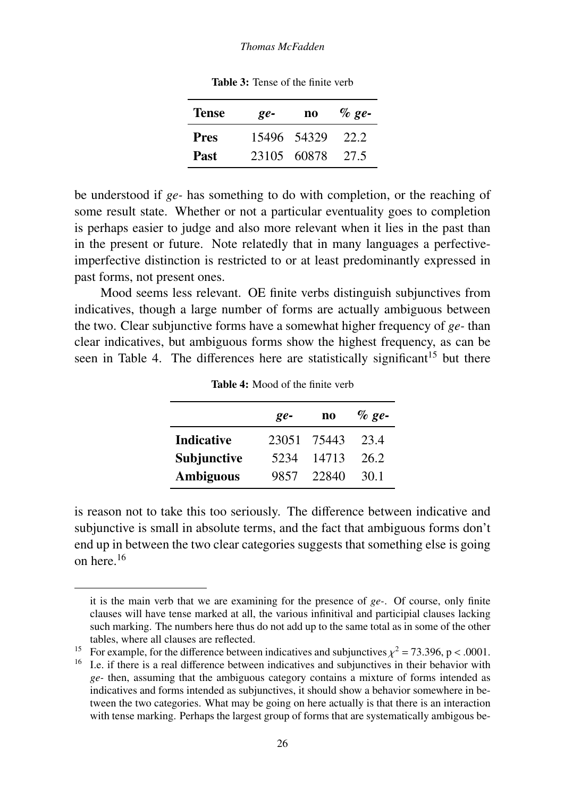#### *Thomas McFadden*

| <b>Tense</b> | $ge-$       | no          | $\%$ ge- |
|--------------|-------------|-------------|----------|
| <b>Pres</b>  |             | 15496 54329 | 22.2     |
| <b>Past</b>  | 23105 60878 |             | 27.5     |

Table 3: Tense of the finite verb

be understood if *ge-* has something to do with completion, or the reaching of some result state. Whether or not a particular eventuality goes to completion is perhaps easier to judge and also more relevant when it lies in the past than in the present or future. Note relatedly that in many languages a perfectiveimperfective distinction is restricted to or at least predominantly expressed in past forms, not present ones.

Mood seems less relevant. OE finite verbs distinguish subjunctives from indicatives, though a large number of forms are actually ambiguous between the two. Clear subjunctive forms have a somewhat higher frequency of *ge-* than clear indicatives, but ambiguous forms show the highest frequency, as can be seen in Table 4. The differences here are statistically significant<sup>15</sup> but there

|                    | $ge-$ | no          | $\%$ ge- |
|--------------------|-------|-------------|----------|
| <b>Indicative</b>  |       | 23051 75443 | 23.4     |
| <b>Subjunctive</b> | 5234  | 14713       | 26.2     |
| <b>Ambiguous</b>   | 9857  | 22840       | 30.1     |

Table 4: Mood of the finite verb

is reason not to take this too seriously. The difference between indicative and subjunctive is small in absolute terms, and the fact that ambiguous forms don't end up in between the two clear categories suggests that something else is going on here.16

it is the main verb that we are examining for the presence of *ge-*. Of course, only finite clauses will have tense marked at all, the various infinitival and participial clauses lacking such marking. The numbers here thus do not add up to the same total as in some of the other tables, where all clauses are reflected.

<sup>&</sup>lt;sup>15</sup> For example, for the difference between indicatives and subjunctives  $\chi^2 = 73.396$ , p < .0001.<br><sup>16</sup> Le if there is a real difference between indicatives and subjunctives in their behavior with

I.e. if there is a real difference between indicatives and subjunctives in their behavior with *ge-* then, assuming that the ambiguous category contains a mixture of forms intended as indicatives and forms intended as subjunctives, it should show a behavior somewhere in between the two categories. What may be going on here actually is that there is an interaction with tense marking. Perhaps the largest group of forms that are systematically ambigous be-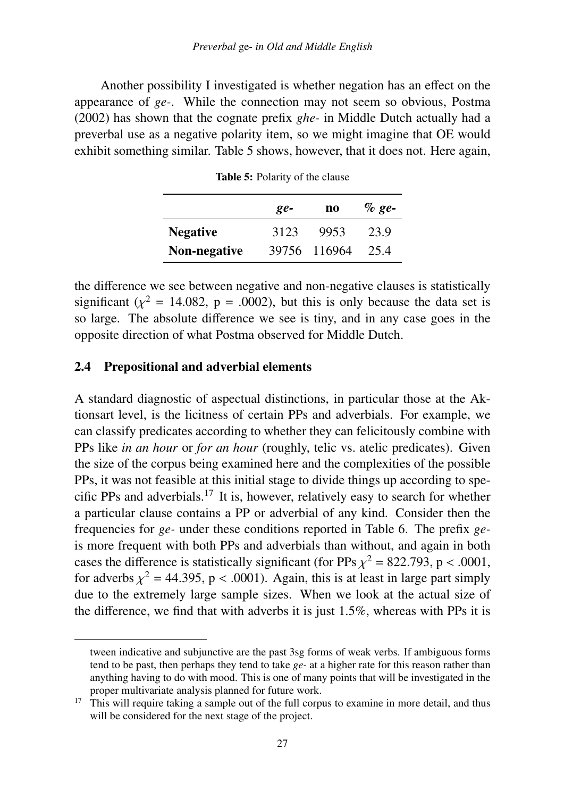Another possibility I investigated is whether negation has an effect on the appearance of *ge-*. While the connection may not seem so obvious, Postma (2002) has shown that the cognate prefix *ghe-* in Middle Dutch actually had a preverbal use as a negative polarity item, so we might imagine that OE would exhibit something similar. Table 5 shows, however, that it does not. Here again,

|                     | $ge-$ | no           | $\%$ ge- |
|---------------------|-------|--------------|----------|
| <b>Negative</b>     | 3123  | 9953         | 23.9     |
| <b>Non-negative</b> |       | 39756 116964 | 25.4     |

Table 5: Polarity of the clause

the difference we see between negative and non-negative clauses is statistically significant ( $\chi^2$  = 14.082, p = .0002), but this is only because the data set is so large. The absolute difference we see is tiny, and in any case goes in the opposite direction of what Postma observed for Middle Dutch.

#### 2.4 Prepositional and adverbial elements

A standard diagnostic of aspectual distinctions, in particular those at the Aktionsart level, is the licitness of certain PPs and adverbials. For example, we can classify predicates according to whether they can felicitously combine with PPs like *in an hour* or *for an hour* (roughly, telic vs. atelic predicates). Given the size of the corpus being examined here and the complexities of the possible PPs, it was not feasible at this initial stage to divide things up according to specific PPs and adverbials.<sup>17</sup> It is, however, relatively easy to search for whether a particular clause contains a PP or adverbial of any kind. Consider then the frequencies for *ge-* under these conditions reported in Table 6. The prefix *ge*is more frequent with both PPs and adverbials than without, and again in both cases the difference is statistically significant (for PPs  $\chi^2 = 822.793$ , p < .0001, for adverbs  $\chi^2$  = 44.395, p < .0001). Again, this is at least in large part simply due to the extremely large sample sizes. When we look at the actual size of the difference, we find that with adverbs it is just  $1.5\%$ , whereas with PPs it is

tween indicative and subjunctive are the past 3sg forms of weak verbs. If ambiguous forms tend to be past, then perhaps they tend to take *ge-* at a higher rate for this reason rather than anything having to do with mood. This is one of many points that will be investigated in the proper multivariate analysis planned for future work.

 $17$  This will require taking a sample out of the full corpus to examine in more detail, and thus will be considered for the next stage of the project.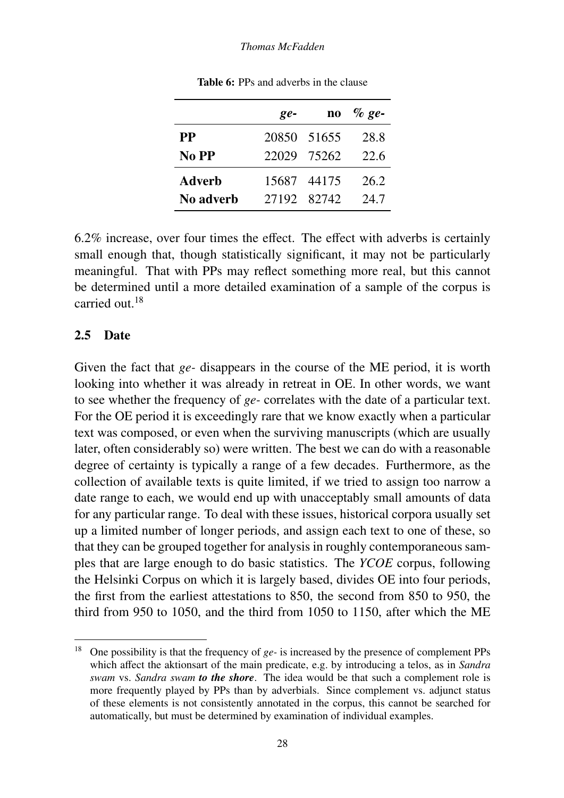|               | $ge-$ | $\bf{no}$   | $\%$ ge- |
|---------------|-------|-------------|----------|
| <b>PP</b>     |       | 20850 51655 | 28.8     |
| No PP         |       | 22029 75262 | 22.6     |
| <b>Adverb</b> |       | 15687 44175 | 26.2     |
| No adverb     |       | 27192 82742 | 24.7     |

Table 6: PPs and adverbs in the clause

 $6.2\%$  increase, over four times the effect. The effect with adverbs is certainly small enough that, though statistically significant, it may not be particularly meaningful. That with PPs may reflect something more real, but this cannot be determined until a more detailed examination of a sample of the corpus is carried out.<sup>18</sup>

### 2.5 Date

Given the fact that *ge-* disappears in the course of the ME period, it is worth looking into whether it was already in retreat in OE. In other words, we want to see whether the frequency of *ge-* correlates with the date of a particular text. For the OE period it is exceedingly rare that we know exactly when a particular text was composed, or even when the surviving manuscripts (which are usually later, often considerably so) were written. The best we can do with a reasonable degree of certainty is typically a range of a few decades. Furthermore, as the collection of available texts is quite limited, if we tried to assign too narrow a date range to each, we would end up with unacceptably small amounts of data for any particular range. To deal with these issues, historical corpora usually set up a limited number of longer periods, and assign each text to one of these, so that they can be grouped together for analysis in roughly contemporaneous samples that are large enough to do basic statistics. The *YCOE* corpus, following the Helsinki Corpus on which it is largely based, divides OE into four periods, the first from the earliest attestations to 850, the second from 850 to 950, the third from 950 to 1050, and the third from 1050 to 1150, after which the ME

<sup>18</sup> One possibility is that the frequency of *ge-* is increased by the presence of complement PPs which affect the aktionsart of the main predicate, e.g. by introducing a telos, as in *Sandra swam* vs. *Sandra swam to the shore*. The idea would be that such a complement role is more frequently played by PPs than by adverbials. Since complement vs. adjunct status of these elements is not consistently annotated in the corpus, this cannot be searched for automatically, but must be determined by examination of individual examples.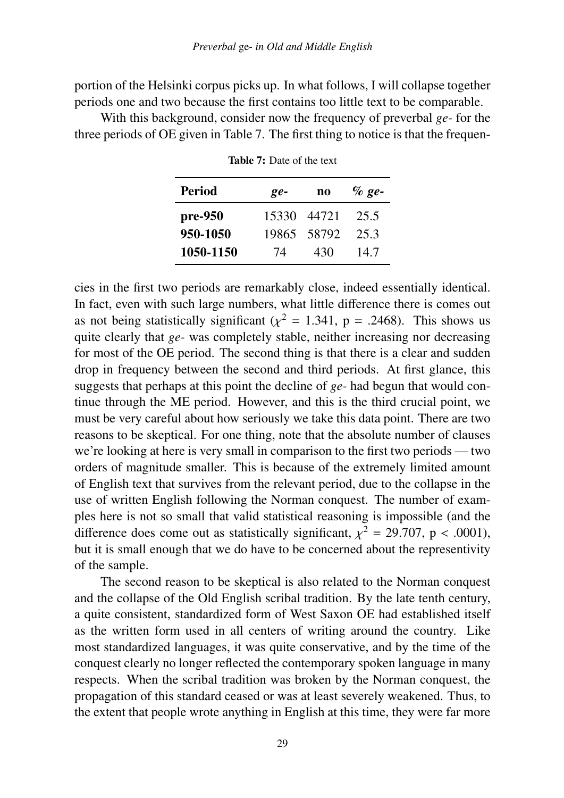portion of the Helsinki corpus picks up. In what follows, I will collapse together periods one and two because the first contains too little text to be comparable.

With this background, consider now the frequency of preverbal *ge-* for the three periods of OE given in Table 7. The first thing to notice is that the frequen-

| <b>Period</b> | $\ell$ - | no          | $\%$ ge- |
|---------------|----------|-------------|----------|
| pre-950       | 15330    | 44721       | 25.5     |
| 950-1050      |          | 19865 58792 | 25.3     |
| 1050-1150     | 74       | 430         | 14.7     |

Table 7: Date of the text

cies in the first two periods are remarkably close, indeed essentially identical. In fact, even with such large numbers, what little difference there is comes out as not being statistically significant ( $\chi^2$  = 1.341, p = .2468). This shows us quite clearly that *ge-* was completely stable, neither increasing nor decreasing for most of the OE period. The second thing is that there is a clear and sudden drop in frequency between the second and third periods. At first glance, this suggests that perhaps at this point the decline of *ge-* had begun that would continue through the ME period. However, and this is the third crucial point, we must be very careful about how seriously we take this data point. There are two reasons to be skeptical. For one thing, note that the absolute number of clauses we're looking at here is very small in comparison to the first two periods — two orders of magnitude smaller. This is because of the extremely limited amount of English text that survives from the relevant period, due to the collapse in the use of written English following the Norman conquest. The number of examples here is not so small that valid statistical reasoning is impossible (and the difference does come out as statistically significant,  $\chi^2 = 29.707$ , p < .0001), but it is small enough that we do have to be concerned about the representivity of the sample.

The second reason to be skeptical is also related to the Norman conquest and the collapse of the Old English scribal tradition. By the late tenth century, a quite consistent, standardized form of West Saxon OE had established itself as the written form used in all centers of writing around the country. Like most standardized languages, it was quite conservative, and by the time of the conquest clearly no longer reflected the contemporary spoken language in many respects. When the scribal tradition was broken by the Norman conquest, the propagation of this standard ceased or was at least severely weakened. Thus, to the extent that people wrote anything in English at this time, they were far more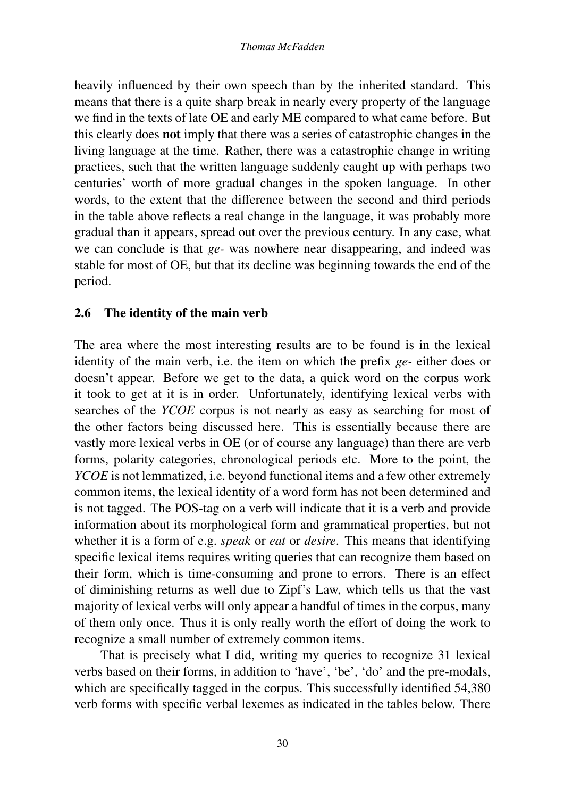heavily influenced by their own speech than by the inherited standard. This means that there is a quite sharp break in nearly every property of the language we find in the texts of late OE and early ME compared to what came before. But this clearly does not imply that there was a series of catastrophic changes in the living language at the time. Rather, there was a catastrophic change in writing practices, such that the written language suddenly caught up with perhaps two centuries' worth of more gradual changes in the spoken language. In other words, to the extent that the difference between the second and third periods in the table above reflects a real change in the language, it was probably more gradual than it appears, spread out over the previous century. In any case, what we can conclude is that *ge-* was nowhere near disappearing, and indeed was stable for most of OE, but that its decline was beginning towards the end of the period.

# 2.6 The identity of the main verb

The area where the most interesting results are to be found is in the lexical identity of the main verb, i.e. the item on which the prefix *ge-* either does or doesn't appear. Before we get to the data, a quick word on the corpus work it took to get at it is in order. Unfortunately, identifying lexical verbs with searches of the *YCOE* corpus is not nearly as easy as searching for most of the other factors being discussed here. This is essentially because there are vastly more lexical verbs in OE (or of course any language) than there are verb forms, polarity categories, chronological periods etc. More to the point, the *YCOE* is not lemmatized, i.e. beyond functional items and a few other extremely common items, the lexical identity of a word form has not been determined and is not tagged. The POS-tag on a verb will indicate that it is a verb and provide information about its morphological form and grammatical properties, but not whether it is a form of e.g. *speak* or *eat* or *desire*. This means that identifying specific lexical items requires writing queries that can recognize them based on their form, which is time-consuming and prone to errors. There is an effect of diminishing returns as well due to Zipf's Law, which tells us that the vast majority of lexical verbs will only appear a handful of times in the corpus, many of them only once. Thus it is only really worth the effort of doing the work to recognize a small number of extremely common items.

That is precisely what I did, writing my queries to recognize 31 lexical verbs based on their forms, in addition to 'have', 'be', 'do' and the pre-modals, which are specifically tagged in the corpus. This successfully identified 54,380 verb forms with specific verbal lexemes as indicated in the tables below. There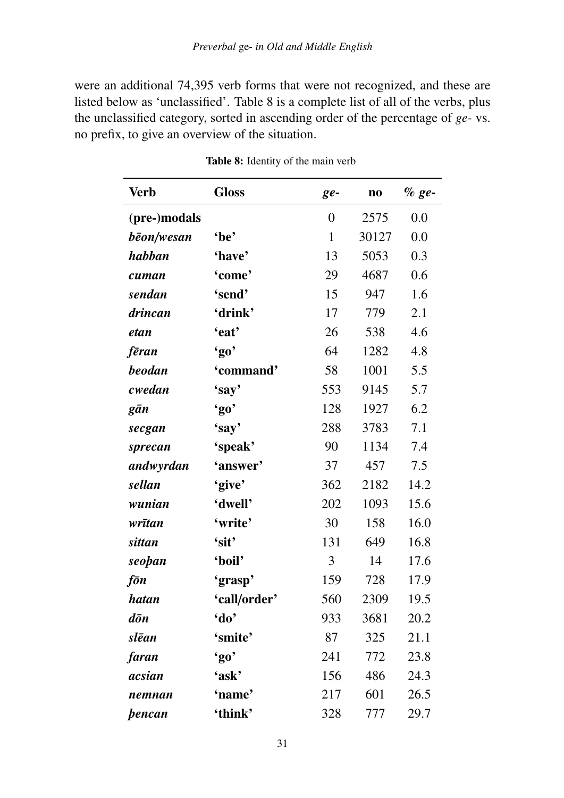were an additional 74,395 verb forms that were not recognized, and these are listed below as 'unclassified'. Table 8 is a complete list of all of the verbs, plus the unclassified category, sorted in ascending order of the percentage of *ge-* vs. no prefix, to give an overview of the situation.

| <b>Verb</b>   | <b>Gloss</b> | $ge-$          | $\mathbf{n}\mathbf{o}$ | $%$ ge- |
|---------------|--------------|----------------|------------------------|---------|
| (pre-)modals  |              | $\overline{0}$ | 2575                   | 0.0     |
| bēon/wesan    | 'be'         | $\mathbf{1}$   | 30127                  | 0.0     |
| habban        | 'have'       | 13             | 5053                   | 0.3     |
| cuman         | 'come'       | 29             | 4687                   | 0.6     |
| sendan        | 'send'       | 15             | 947                    | 1.6     |
| drincan       | 'drink'      | 17             | 779                    | 2.1     |
| etan          | 'eat'        | 26             | 538                    | 4.6     |
| fēran         | 'go'         | 64             | 1282                   | 4.8     |
| <b>beodan</b> | 'command'    | 58             | 1001                   | 5.5     |
| cwedan        | 'say'        | 553            | 9145                   | 5.7     |
| $g\bar{a}n$   | 'go'         | 128            | 1927                   | 6.2     |
| secgan        | 'say'        | 288            | 3783                   | 7.1     |
| sprecan       | 'speak'      | 90             | 1134                   | 7.4     |
| andwyrdan     | 'answer'     | 37             | 457                    | 7.5     |
| sellan        | 'give'       | 362            | 2182                   | 14.2    |
| wunian        | 'dwell'      | 202            | 1093                   | 15.6    |
| wrītan        | 'write'      | 30             | 158                    | 16.0    |
| sittan        | 'sit'        | 131            | 649                    | 16.8    |
| seopan        | 'boil'       | 3              | 14                     | 17.6    |
| fōn           | 'grasp'      | 159            | 728                    | 17.9    |
| hatan         | 'call/order' | 560            | 2309                   | 19.5    |
| $d\bar{o}n$   | $\dots$      | 933            | 3681                   | 20.2    |
| slēan         | 'smite'      | 87             | 325                    | 21.1    |
| faran         | 'go'         | 241            | 772                    | 23.8    |
| acsian        | 'ask'        | 156            | 486                    | 24.3    |
| nemnan        | 'name'       | 217            | 601                    | 26.5    |
| <i>bencan</i> | 'think'      | 328            | 777                    | 29.7    |

Table 8: Identity of the main verb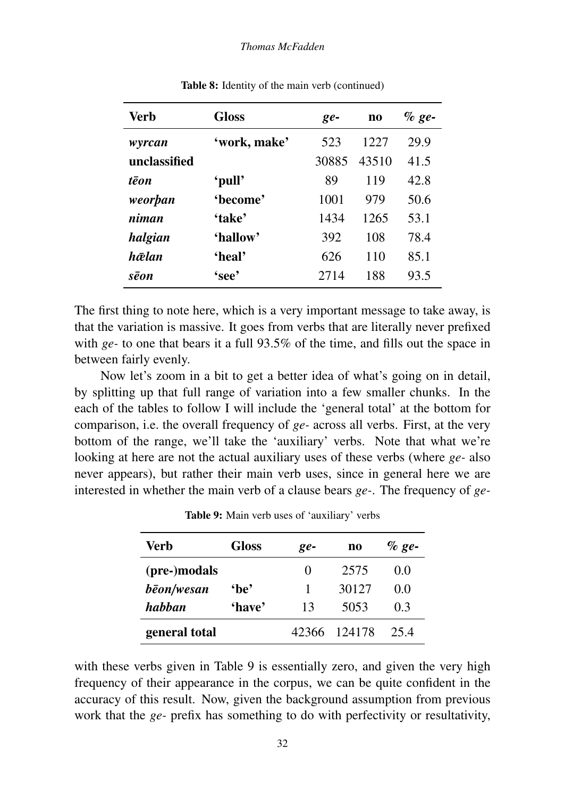| Verb         | <b>Gloss</b> | $ge-$ | $\mathbf{n}\mathbf{o}$ | $%$ ge- |
|--------------|--------------|-------|------------------------|---------|
| wyrcan       | 'work, make' | 523   | 1227                   | 29.9    |
| unclassified |              | 30885 | 43510                  | 41.5    |
| tēon         | 'pull'       | 89    | 119                    | 42.8    |
| weorban      | 'become'     | 1001  | 979                    | 50.6    |
| niman        | 'take'       | 1434  | 1265                   | 53.1    |
| halgian      | 'hallow'     | 392   | 108                    | 78.4    |
| hælan        | 'heal'       | 626   | 110                    | 85.1    |
| sēon         | 'see'        | 2714  | 188                    | 93.5    |

Table 8: Identity of the main verb (continued)

The first thing to note here, which is a very important message to take away, is that the variation is massive. It goes from verbs that are literally never prefixed with *ge-* to one that bears it a full 93.5% of the time, and fills out the space in between fairly evenly.

Now let's zoom in a bit to get a better idea of what's going on in detail, by splitting up that full range of variation into a few smaller chunks. In the each of the tables to follow I will include the 'general total' at the bottom for comparison, i.e. the overall frequency of *ge-* across all verbs. First, at the very bottom of the range, we'll take the 'auxiliary' verbs. Note that what we're looking at here are not the actual auxiliary uses of these verbs (where *ge-* also never appears), but rather their main verb uses, since in general here we are interested in whether the main verb of a clause bears *ge-*. The frequency of *ge-*

| <b>Verb</b>   | Gloss          | $ge-$ | no     | $%ee-$    |
|---------------|----------------|-------|--------|-----------|
| (pre-)modals  |                | 0     | 2575   | $( )_1()$ |
| bēon/wesan    | $^{\circ}$ he' |       | 30127  | $( )_1()$ |
| habban        | 'have'         | 13    | 5053   | 0.3       |
| general total |                | 42366 | 124178 | 25.4      |

Table 9: Main verb uses of 'auxiliary' verbs

with these verbs given in Table 9 is essentially zero, and given the very high frequency of their appearance in the corpus, we can be quite confident in the accuracy of this result. Now, given the background assumption from previous work that the *ge-* prefix has something to do with perfectivity or resultativity,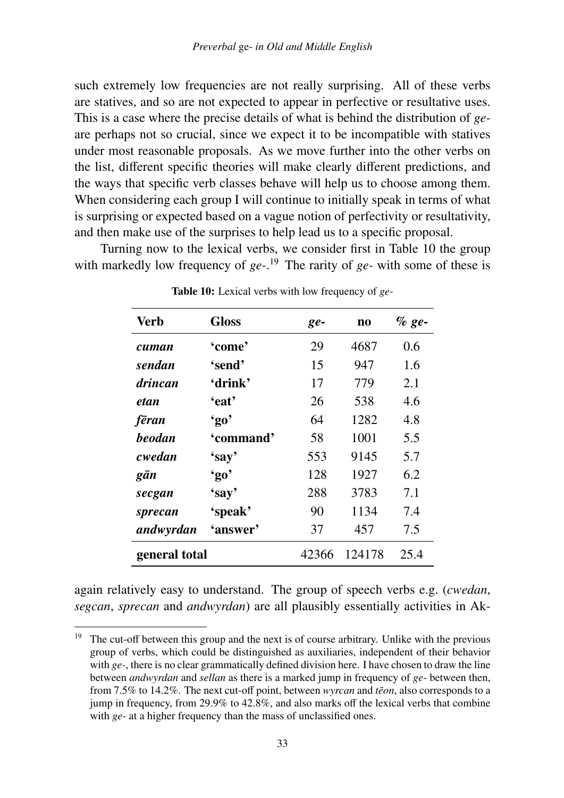such extremely low frequencies are not really surprising. All of these verbs are statives, and so are not expected to appear in perfective or resultative uses. This is a case where the precise details of what is behind the distribution of *ge*are perhaps not so crucial, since we expect it to be incompatible with statives under most reasonable proposals. As we move further into the other verbs on the list, different specific theories will make clearly different predictions, and the ways that specific verb classes behave will help us to choose among them. When considering each group I will continue to initially speak in terms of what is surprising or expected based on a vague notion of perfectivity or resultativity, and then make use of the surprises to help lead us to a specific proposal.

Turning now to the lexical verbs, we consider first in Table 10 the group with markedly low frequency of *ge-*. <sup>19</sup> The rarity of *ge-* with some of these is

| Verb          | <b>Gloss</b> | $ge-$ | $\mathbf{n}\mathbf{o}$ | $%$ ge- |
|---------------|--------------|-------|------------------------|---------|
| cuman         | 'come'       | 29    | 4687                   | 0.6     |
| sendan        | 'send'       | 15    | 947                    | 1.6     |
| drincan       | 'drink'      | 17    | 779                    | 2.1     |
| etan          | 'eat'        | 26    | 538                    | 4.6     |
| fēran         | $'q_0'$      | 64    | 1282                   | 4.8     |
| <b>beodan</b> | 'command'    | 58    | 1001                   | 5.5     |
| cwedan        | 'say'        | 553   | 9145                   | 5.7     |
| gān           | $'q_0'$      | 128   | 1927                   | 6.2     |
| secgan        | 'say'        | 288   | 3783                   | 7.1     |
| sprecan       | 'speak'      | 90    | 1134                   | 7.4     |
| andwyrdan     | 'answer'     | 37    | 457                    | 7.5     |
| general total |              | 42366 | 124178                 | 25.4    |

Table 10: Lexical verbs with low frequency of *ge-*

again relatively easy to understand. The group of speech verbs e.g. (*cwedan*, *segcan*, *sprecan* and *andwyrdan*) are all plausibly essentially activities in Ak-

<sup>&</sup>lt;sup>19</sup> The cut-off between this group and the next is of course arbitrary. Unlike with the previous group of verbs, which could be distinguished as auxiliaries, independent of their behavior with *ge-*, there is no clear grammatically defined division here. I have chosen to draw the line between *andwyrdan* and *sellan* as there is a marked jump in frequency of *ge-* between then, from 7.5% to 14.2%. The next cut-off point, between *wyrcan* and *teon*, also corresponds to a jump in frequency, from  $29.9\%$  to  $42.8\%$ , and also marks off the lexical verbs that combine with *ge-* at a higher frequency than the mass of unclassified ones.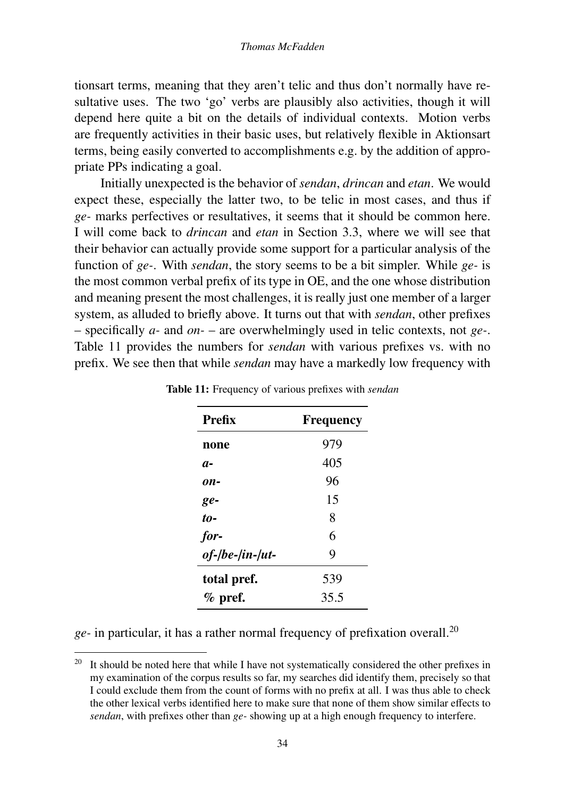tionsart terms, meaning that they aren't telic and thus don't normally have resultative uses. The two 'go' verbs are plausibly also activities, though it will depend here quite a bit on the details of individual contexts. Motion verbs are frequently activities in their basic uses, but relatively flexible in Aktionsart terms, being easily converted to accomplishments e.g. by the addition of appropriate PPs indicating a goal.

Initially unexpected is the behavior of *sendan*, *drincan* and *etan*. We would expect these, especially the latter two, to be telic in most cases, and thus if *ge-* marks perfectives or resultatives, it seems that it should be common here. I will come back to *drincan* and *etan* in Section 3.3, where we will see that their behavior can actually provide some support for a particular analysis of the function of *ge-*. With *sendan*, the story seems to be a bit simpler. While *ge-* is the most common verbal prefix of its type in OE, and the one whose distribution and meaning present the most challenges, it is really just one member of a larger system, as alluded to briefly above. It turns out that with *sendan*, other prefixes – specifically *a-* and *on-* – are overwhelmingly used in telic contexts, not *ge-*. Table 11 provides the numbers for *sendan* with various prefixes vs. with no prefix. We see then that while *sendan* may have a markedly low frequency with

| <b>Prefix</b>      | <b>Frequency</b> |
|--------------------|------------------|
| none               | 979              |
| а-                 | 405              |
| on-                | 96               |
| ge-                | 15               |
| $to$ -             | 8                |
| for-               | 6                |
| $of$ -/be-/in-/ut- | 9                |
| total pref.        | 539              |
| $\%$ pref.         | 35.5             |

Table 11: Frequency of various prefixes with *sendan*

*ge-* in particular, it has a rather normal frequency of prefixation overall.<sup>20</sup>

 $20$  It should be noted here that while I have not systematically considered the other prefixes in my examination of the corpus results so far, my searches did identify them, precisely so that I could exclude them from the count of forms with no prefix at all. I was thus able to check the other lexical verbs identified here to make sure that none of them show similar effects to *sendan*, with prefixes other than *ge-* showing up at a high enough frequency to interfere.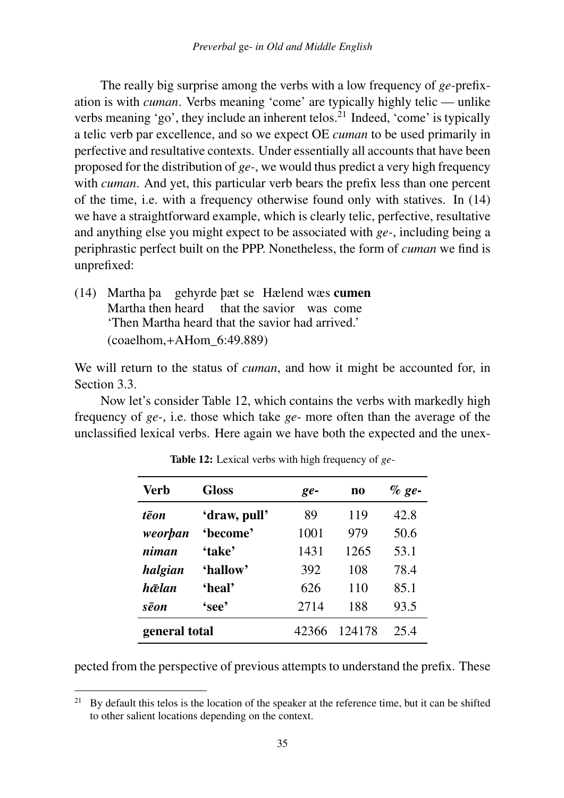The really big surprise among the verbs with a low frequency of *ge-*prefixation is with *cuman*. Verbs meaning 'come' are typically highly telic — unlike verbs meaning 'go', they include an inherent telos.<sup>21</sup> Indeed, 'come' is typically a telic verb par excellence, and so we expect OE *cuman* to be used primarily in perfective and resultative contexts. Under essentially all accounts that have been proposed for the distribution of *ge-*, we would thus predict a very high frequency with *cuman*. And yet, this particular verb bears the prefix less than one percent of the time, i.e. with a frequency otherwise found only with statives. In (14) we have a straightforward example, which is clearly telic, perfective, resultative and anything else you might expect to be associated with *ge-*, including being a periphrastic perfect built on the PPP. Nonetheless, the form of *cuman* we find is unprefixed:

(14) Martha þa gehyrde þæt se Hælend wæs cumen Martha then heard that the savior was come 'Then Martha heard that the savior had arrived.' (coaelhom,+AHom\_6:49.889)

We will return to the status of *cuman*, and how it might be accounted for, in Section 3.3.

Now let's consider Table 12, which contains the verbs with markedly high frequency of *ge-*, i.e. those which take *ge-* more often than the average of the unclassified lexical verbs. Here again we have both the expected and the unex-

| Verb          | <b>Gloss</b> | $ge-$ | no     | $%ee-$ |
|---------------|--------------|-------|--------|--------|
| tēon          | 'draw, pull' | 89    | 119    | 42.8   |
| weorban       | 'become'     | 1001  | 979    | 50.6   |
| niman         | 'take'       | 1431  | 1265   | 53.1   |
| halgian       | 'hallow'     | 392   | 108    | 78.4   |
| hælan         | 'heal'       | 626   | 110    | 85.1   |
| sēon          | 'see'        | 2714  | 188    | 93.5   |
| general total |              | 42366 | 124178 | 25.4   |

Table 12: Lexical verbs with high frequency of *ge-*

pected from the perspective of previous attempts to understand the prefix. These

<sup>&</sup>lt;sup>21</sup> By default this telos is the location of the speaker at the reference time, but it can be shifted to other salient locations depending on the context.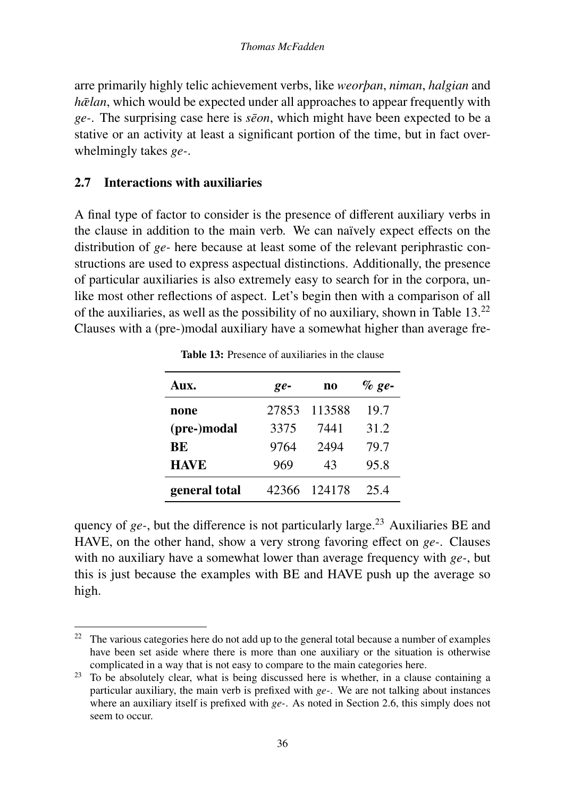arre primarily highly telic achievement verbs, like *weorþan*, *niman*, *halgian* and *h* $\bar{\alpha}$ *lan*, which would be expected under all approaches to appear frequently with *ge*-. The surprising case here is *seon*, which might have been expected to be a stative or an activity at least a significant portion of the time, but in fact overwhelmingly takes *ge-*.

### 2.7 Interactions with auxiliaries

A final type of factor to consider is the presence of different auxiliary verbs in the clause in addition to the main verb. We can naïvely expect effects on the distribution of *ge-* here because at least some of the relevant periphrastic constructions are used to express aspectual distinctions. Additionally, the presence of particular auxiliaries is also extremely easy to search for in the corpora, unlike most other reflections of aspect. Let's begin then with a comparison of all of the auxiliaries, as well as the possibility of no auxiliary, shown in Table  $13.^{22}$ Clauses with a (pre-)modal auxiliary have a somewhat higher than average fre-

| Aux.          | ge-   | no     | $%$ ge- |
|---------------|-------|--------|---------|
| none          | 27853 | 113588 | 19.7    |
| (pre-)modal   | 3375  | 7441   | 31.2    |
| BE            | 9764  | 2494   | 79.7    |
| <b>HAVE</b>   | 969   | 43     | 95.8    |
| general total | 42366 | 124178 | 25.4    |

Table 13: Presence of auxiliaries in the clause

quency of *ge*-, but the difference is not particularly large.<sup>23</sup> Auxiliaries BE and HAVE, on the other hand, show a very strong favoring effect on *ge*-. Clauses with no auxiliary have a somewhat lower than average frequency with *ge-*, but this is just because the examples with BE and HAVE push up the average so high.

 $22$  The various categories here do not add up to the general total because a number of examples have been set aside where there is more than one auxiliary or the situation is otherwise complicated in a way that is not easy to compare to the main categories here.

<sup>23</sup> To be absolutely clear, what is being discussed here is whether, in a clause containing a particular auxiliary, the main verb is prefixed with *ge-*. We are not talking about instances where an auxiliary itself is prefixed with *ge-*. As noted in Section 2.6, this simply does not seem to occur.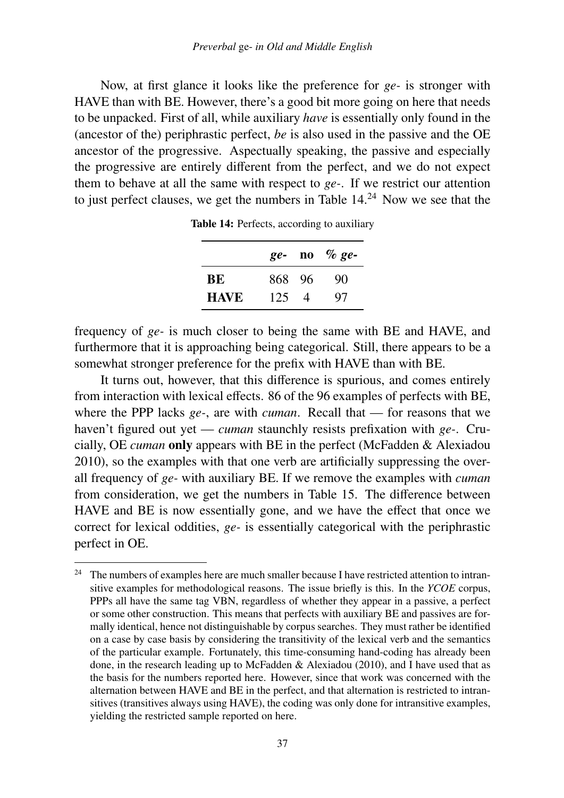Now, at first glance it looks like the preference for *ge-* is stronger with HAVE than with BE. However, there's a good bit more going on here that needs to be unpacked. First of all, while auxiliary *have* is essentially only found in the (ancestor of the) periphrastic perfect, *be* is also used in the passive and the OE ancestor of the progressive. Aspectually speaking, the passive and especially the progressive are entirely different from the perfect, and we do not expect them to behave at all the same with respect to *ge-*. If we restrict our attention to just perfect clauses, we get the numbers in Table 14.24 Now we see that the

|             |        |          | $ge-$ no $%ee-$ |
|-------------|--------|----------|-----------------|
| <b>BE</b>   | 868 96 |          | 90              |
| <b>HAVE</b> | 125    | $\Delta$ | 97              |

Table 14: Perfects, according to auxiliary

frequency of *ge-* is much closer to being the same with BE and HAVE, and furthermore that it is approaching being categorical. Still, there appears to be a somewhat stronger preference for the prefix with HAVE than with BE.

It turns out, however, that this difference is spurious, and comes entirely from interaction with lexical effects. 86 of the 96 examples of perfects with BE, where the PPP lacks *ge-*, are with *cuman*. Recall that — for reasons that we haven't figured out yet — *cuman* staunchly resists prefixation with *ge-*. Crucially, OE *cuman* only appears with BE in the perfect (McFadden & Alexiadou 2010), so the examples with that one verb are artificially suppressing the overall frequency of *ge-* with auxiliary BE. If we remove the examples with *cuman* from consideration, we get the numbers in Table 15. The difference between HAVE and BE is now essentially gone, and we have the effect that once we correct for lexical oddities, *ge-* is essentially categorical with the periphrastic perfect in OE.

<sup>&</sup>lt;sup>24</sup> The numbers of examples here are much smaller because I have restricted attention to intransitive examples for methodological reasons. The issue briefly is this. In the *YCOE* corpus, PPPs all have the same tag VBN, regardless of whether they appear in a passive, a perfect or some other construction. This means that perfects with auxiliary BE and passives are formally identical, hence not distinguishable by corpus searches. They must rather be identified on a case by case basis by considering the transitivity of the lexical verb and the semantics of the particular example. Fortunately, this time-consuming hand-coding has already been done, in the research leading up to McFadden & Alexiadou (2010), and I have used that as the basis for the numbers reported here. However, since that work was concerned with the alternation between HAVE and BE in the perfect, and that alternation is restricted to intransitives (transitives always using HAVE), the coding was only done for intransitive examples, yielding the restricted sample reported on here.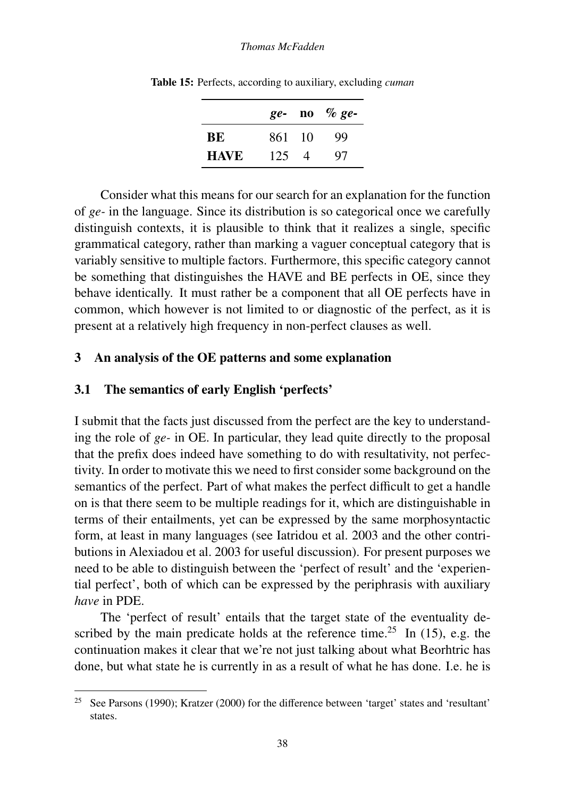#### *Thomas McFadden*

|             |        |                | $ge-$ no $%ee-$ |
|-------------|--------|----------------|-----------------|
| BE          | 861 10 |                | 99              |
| <b>HAVE</b> | 125    | $\overline{4}$ | 97              |

Table 15: Perfects, according to auxiliary, excluding *cuman*

Consider what this means for our search for an explanation for the function of *ge-* in the language. Since its distribution is so categorical once we carefully distinguish contexts, it is plausible to think that it realizes a single, specific grammatical category, rather than marking a vaguer conceptual category that is variably sensitive to multiple factors. Furthermore, this specific category cannot be something that distinguishes the HAVE and BE perfects in OE, since they behave identically. It must rather be a component that all OE perfects have in common, which however is not limited to or diagnostic of the perfect, as it is present at a relatively high frequency in non-perfect clauses as well.

#### 3 An analysis of the OE patterns and some explanation

#### 3.1 The semantics of early English 'perfects'

I submit that the facts just discussed from the perfect are the key to understanding the role of *ge-* in OE. In particular, they lead quite directly to the proposal that the prefix does indeed have something to do with resultativity, not perfectivity. In order to motivate this we need to first consider some background on the semantics of the perfect. Part of what makes the perfect difficult to get a handle on is that there seem to be multiple readings for it, which are distinguishable in terms of their entailments, yet can be expressed by the same morphosyntactic form, at least in many languages (see Iatridou et al. 2003 and the other contributions in Alexiadou et al. 2003 for useful discussion). For present purposes we need to be able to distinguish between the 'perfect of result' and the 'experiential perfect', both of which can be expressed by the periphrasis with auxiliary *have* in PDE.

The 'perfect of result' entails that the target state of the eventuality described by the main predicate holds at the reference time.<sup>25</sup> In (15), e.g. the continuation makes it clear that we're not just talking about what Beorhtric has done, but what state he is currently in as a result of what he has done. I.e. he is

<sup>&</sup>lt;sup>25</sup> See Parsons (1990); Kratzer (2000) for the difference between 'target' states and 'resultant' states.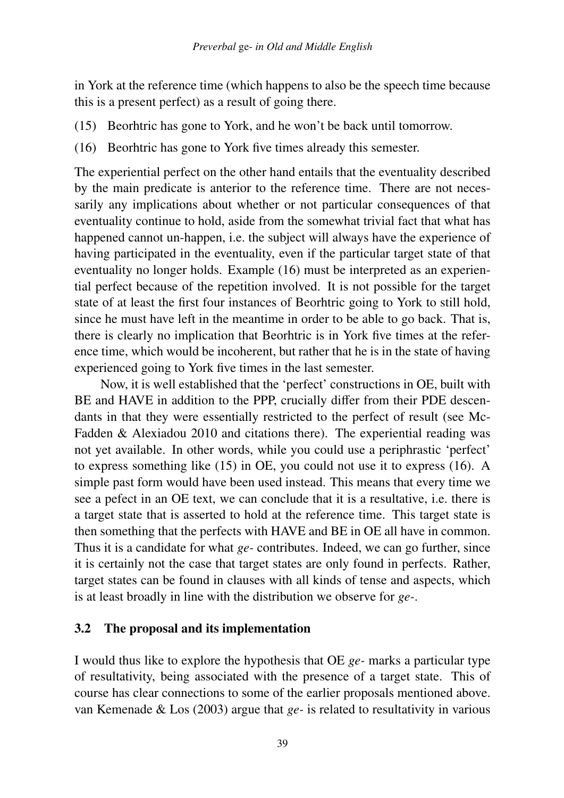in York at the reference time (which happens to also be the speech time because this is a present perfect) as a result of going there.

- (15) Beorhtric has gone to York, and he won't be back until tomorrow.
- (16) Beorhtric has gone to York five times already this semester.

The experiential perfect on the other hand entails that the eventuality described by the main predicate is anterior to the reference time. There are not necessarily any implications about whether or not particular consequences of that eventuality continue to hold, aside from the somewhat trivial fact that what has happened cannot un-happen, i.e. the subject will always have the experience of having participated in the eventuality, even if the particular target state of that eventuality no longer holds. Example (16) must be interpreted as an experiential perfect because of the repetition involved. It is not possible for the target state of at least the first four instances of Beorhtric going to York to still hold, since he must have left in the meantime in order to be able to go back. That is, there is clearly no implication that Beorhtric is in York five times at the reference time, which would be incoherent, but rather that he is in the state of having experienced going to York five times in the last semester.

Now, it is well established that the 'perfect' constructions in OE, built with BE and HAVE in addition to the PPP, crucially differ from their PDE descendants in that they were essentially restricted to the perfect of result (see Mc-Fadden & Alexiadou 2010 and citations there). The experiential reading was not yet available. In other words, while you could use a periphrastic 'perfect' to express something like (15) in OE, you could not use it to express (16). A simple past form would have been used instead. This means that every time we see a pefect in an OE text, we can conclude that it is a resultative, i.e. there is a target state that is asserted to hold at the reference time. This target state is then something that the perfects with HAVE and BE in OE all have in common. Thus it is a candidate for what *ge-* contributes. Indeed, we can go further, since it is certainly not the case that target states are only found in perfects. Rather, target states can be found in clauses with all kinds of tense and aspects, which is at least broadly in line with the distribution we observe for *ge-*.

### 3.2 The proposal and its implementation

I would thus like to explore the hypothesis that OE *ge-* marks a particular type of resultativity, being associated with the presence of a target state. This of course has clear connections to some of the earlier proposals mentioned above. van Kemenade & Los (2003) argue that *ge-* is related to resultativity in various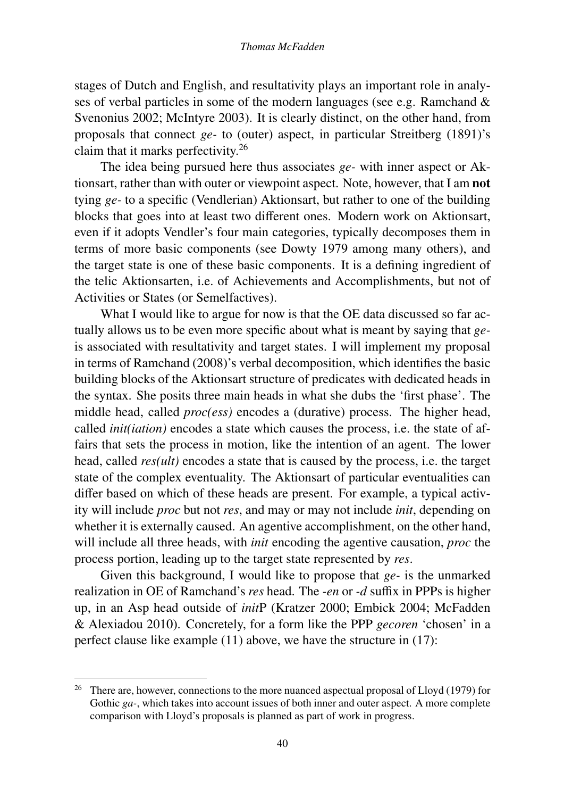#### *Thomas McFadden*

stages of Dutch and English, and resultativity plays an important role in analyses of verbal particles in some of the modern languages (see e.g. Ramchand & Svenonius 2002; McIntyre 2003). It is clearly distinct, on the other hand, from proposals that connect *ge-* to (outer) aspect, in particular Streitberg (1891)'s claim that it marks perfectivity.<sup>26</sup>

The idea being pursued here thus associates *ge-* with inner aspect or Aktionsart, rather than with outer or viewpoint aspect. Note, however, that I am not tying *ge-* to a specific (Vendlerian) Aktionsart, but rather to one of the building blocks that goes into at least two different ones. Modern work on Aktionsart, even if it adopts Vendler's four main categories, typically decomposes them in terms of more basic components (see Dowty 1979 among many others), and the target state is one of these basic components. It is a defining ingredient of the telic Aktionsarten, i.e. of Achievements and Accomplishments, but not of Activities or States (or Semelfactives).

What I would like to argue for now is that the OE data discussed so far actually allows us to be even more specific about what is meant by saying that *ge*is associated with resultativity and target states. I will implement my proposal in terms of Ramchand (2008)'s verbal decomposition, which identifies the basic building blocks of the Aktionsart structure of predicates with dedicated heads in the syntax. She posits three main heads in what she dubs the 'first phase'. The middle head, called *proc(ess)* encodes a (durative) process. The higher head, called *init(iation)* encodes a state which causes the process, i.e. the state of affairs that sets the process in motion, like the intention of an agent. The lower head, called *res(ult)* encodes a state that is caused by the process, i.e. the target state of the complex eventuality. The Aktionsart of particular eventualities can differ based on which of these heads are present. For example, a typical activity will include *proc* but not *res*, and may or may not include *init*, depending on whether it is externally caused. An agentive accomplishment, on the other hand, will include all three heads, with *init* encoding the agentive causation, *proc* the process portion, leading up to the target state represented by *res*.

Given this background, I would like to propose that *ge-* is the unmarked realization in OE of Ramchand's *res* head. The *-en* or *-d* suffix in PPPs is higher up, in an Asp head outside of *init*P (Kratzer 2000; Embick 2004; McFadden & Alexiadou 2010). Concretely, for a form like the PPP *gecoren* 'chosen' in a perfect clause like example (11) above, we have the structure in (17):

<sup>&</sup>lt;sup>26</sup> There are, however, connections to the more nuanced aspectual proposal of Lloyd (1979) for Gothic *ga-*, which takes into account issues of both inner and outer aspect. A more complete comparison with Lloyd's proposals is planned as part of work in progress.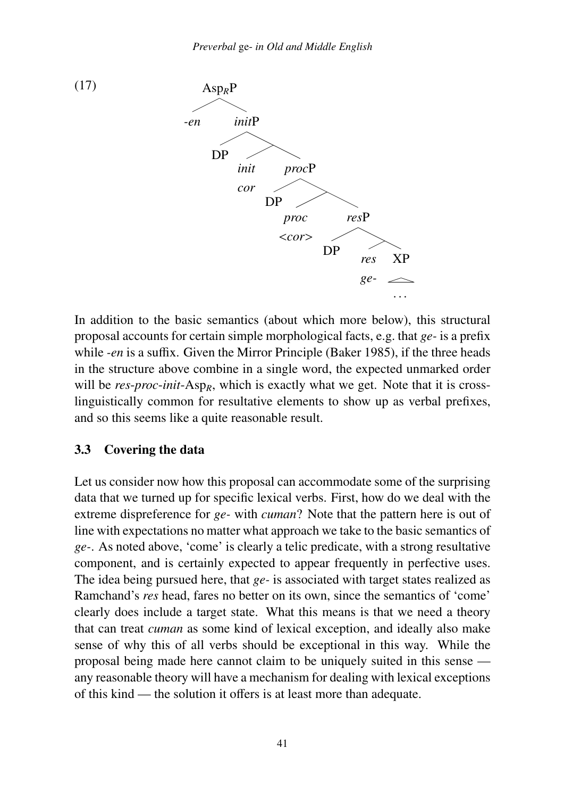

In addition to the basic semantics (about which more below), this structural proposal accounts for certain simple morphological facts, e.g. that *ge-* is a prefix while *-en* is a suffix. Given the Mirror Principle (Baker 1985), if the three heads in the structure above combine in a single word, the expected unmarked order will be *res-proc-init-Asp<sub>R</sub>*, which is exactly what we get. Note that it is crosslinguistically common for resultative elements to show up as verbal prefixes, and so this seems like a quite reasonable result.

#### 3.3 Covering the data

Let us consider now how this proposal can accommodate some of the surprising data that we turned up for specific lexical verbs. First, how do we deal with the extreme dispreference for *ge-* with *cuman*? Note that the pattern here is out of line with expectations no matter what approach we take to the basic semantics of *ge-*. As noted above, 'come' is clearly a telic predicate, with a strong resultative component, and is certainly expected to appear frequently in perfective uses. The idea being pursued here, that *ge-* is associated with target states realized as Ramchand's *res* head, fares no better on its own, since the semantics of 'come' clearly does include a target state. What this means is that we need a theory that can treat *cuman* as some kind of lexical exception, and ideally also make sense of why this of all verbs should be exceptional in this way. While the proposal being made here cannot claim to be uniquely suited in this sense any reasonable theory will have a mechanism for dealing with lexical exceptions of this kind — the solution it offers is at least more than adequate.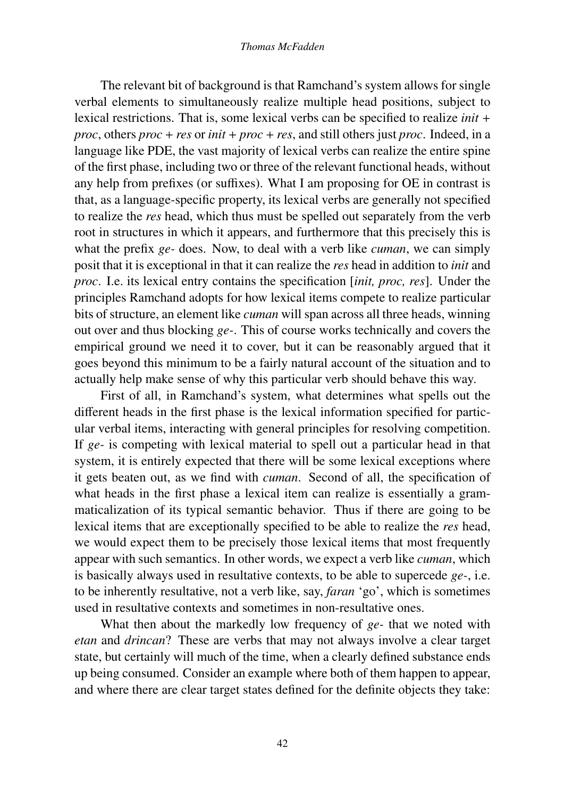#### *Thomas McFadden*

The relevant bit of background is that Ramchand's system allows for single verbal elements to simultaneously realize multiple head positions, subject to lexical restrictions. That is, some lexical verbs can be specified to realize *init* + *proc*, others *proc* + *res* or *init* + *proc* + *res*, and still others just *proc*. Indeed, in a language like PDE, the vast majority of lexical verbs can realize the entire spine of the first phase, including two or three of the relevant functional heads, without any help from prefixes (or suffixes). What I am proposing for OE in contrast is that, as a language-specific property, its lexical verbs are generally not specified to realize the *res* head, which thus must be spelled out separately from the verb root in structures in which it appears, and furthermore that this precisely this is what the prefix *ge-* does. Now, to deal with a verb like *cuman*, we can simply posit that it is exceptional in that it can realize the *res* head in addition to *init* and *proc*. I.e. its lexical entry contains the specification [*init, proc, res*]. Under the principles Ramchand adopts for how lexical items compete to realize particular bits of structure, an element like *cuman* will span across all three heads, winning out over and thus blocking *ge-*. This of course works technically and covers the empirical ground we need it to cover, but it can be reasonably argued that it goes beyond this minimum to be a fairly natural account of the situation and to actually help make sense of why this particular verb should behave this way.

First of all, in Ramchand's system, what determines what spells out the different heads in the first phase is the lexical information specified for particular verbal items, interacting with general principles for resolving competition. If *ge-* is competing with lexical material to spell out a particular head in that system, it is entirely expected that there will be some lexical exceptions where it gets beaten out, as we find with *cuman*. Second of all, the specification of what heads in the first phase a lexical item can realize is essentially a grammaticalization of its typical semantic behavior. Thus if there are going to be lexical items that are exceptionally specified to be able to realize the *res* head, we would expect them to be precisely those lexical items that most frequently appear with such semantics. In other words, we expect a verb like *cuman*, which is basically always used in resultative contexts, to be able to supercede *ge-*, i.e. to be inherently resultative, not a verb like, say, *faran* 'go', which is sometimes used in resultative contexts and sometimes in non-resultative ones.

What then about the markedly low frequency of *ge-* that we noted with *etan* and *drincan*? These are verbs that may not always involve a clear target state, but certainly will much of the time, when a clearly defined substance ends up being consumed. Consider an example where both of them happen to appear, and where there are clear target states defined for the definite objects they take: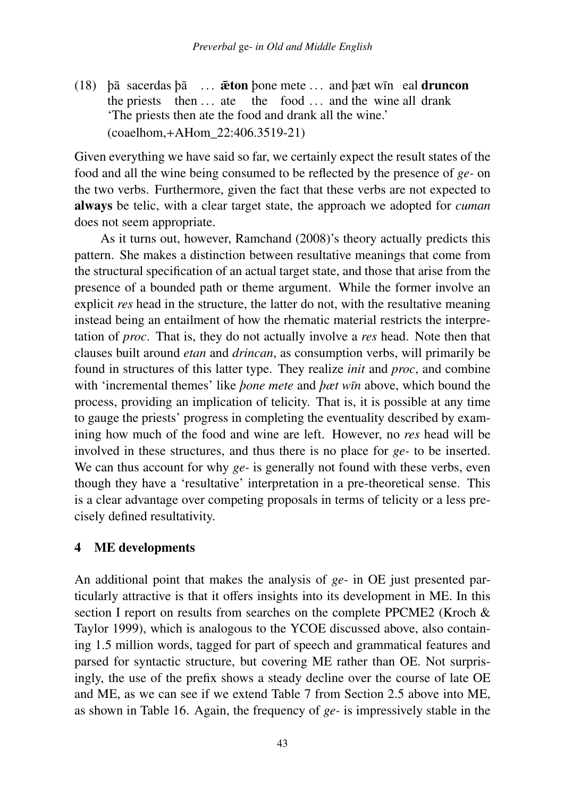(18) þā sacerdas þā ... **æton** þone mete ... and þæt wīn eal **druncon** the priests then ... ate the food ... and the wine all drank 'The priests then ate the food and drank all the wine.' (coaelhom,+AHom\_22:406.3519-21)

Given everything we have said so far, we certainly expect the result states of the food and all the wine being consumed to be reflected by the presence of *ge-* on the two verbs. Furthermore, given the fact that these verbs are not expected to always be telic, with a clear target state, the approach we adopted for *cuman* does not seem appropriate.

As it turns out, however, Ramchand (2008)'s theory actually predicts this pattern. She makes a distinction between resultative meanings that come from the structural specification of an actual target state, and those that arise from the presence of a bounded path or theme argument. While the former involve an explicit *res* head in the structure, the latter do not, with the resultative meaning instead being an entailment of how the rhematic material restricts the interpretation of *proc*. That is, they do not actually involve a *res* head. Note then that clauses built around *etan* and *drincan*, as consumption verbs, will primarily be found in structures of this latter type. They realize *init* and *proc*, and combine with 'incremental themes' like *hone mete* and *host* win above, which bound the process, providing an implication of telicity. That is, it is possible at any time to gauge the priests' progress in completing the eventuality described by examining how much of the food and wine are left. However, no *res* head will be involved in these structures, and thus there is no place for *ge-* to be inserted. We can thus account for why *ge*- is generally not found with these verbs, even though they have a 'resultative' interpretation in a pre-theoretical sense. This is a clear advantage over competing proposals in terms of telicity or a less precisely defined resultativity.

# 4 ME developments

An additional point that makes the analysis of *ge-* in OE just presented particularly attractive is that it offers insights into its development in ME. In this section I report on results from searches on the complete PPCME2 (Kroch & Taylor 1999), which is analogous to the YCOE discussed above, also containing 1.5 million words, tagged for part of speech and grammatical features and parsed for syntactic structure, but covering ME rather than OE. Not surprisingly, the use of the prefix shows a steady decline over the course of late OE and ME, as we can see if we extend Table 7 from Section 2.5 above into ME, as shown in Table 16. Again, the frequency of *ge-* is impressively stable in the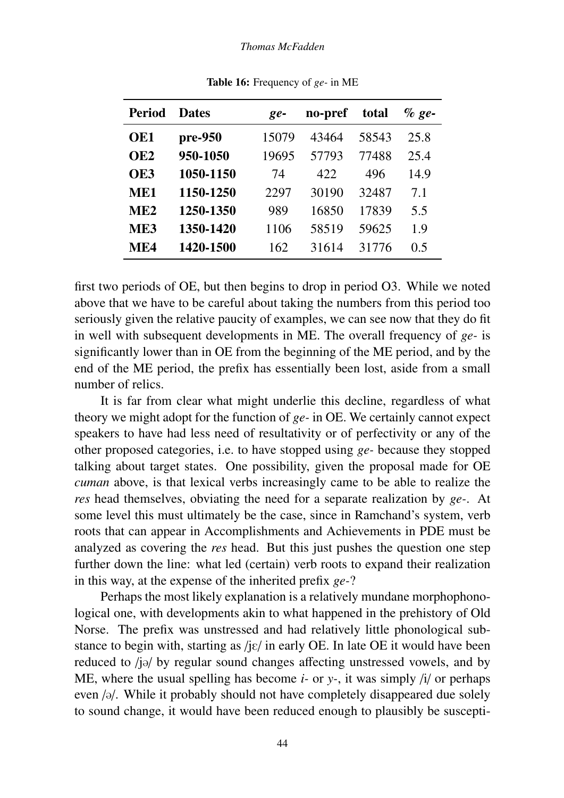| <b>Period</b>   | <b>Dates</b> | $ge-$ | no-pref |       | $\%$ ge- |
|-----------------|--------------|-------|---------|-------|----------|
| OE1             | pre-950      | 15079 | 43464   | 58543 | 25.8     |
| OE <sub>2</sub> | 950-1050     | 19695 | 57793   | 77488 | 25.4     |
| OE3             | 1050-1150    | 74    | 422     | 496   | 14.9     |
| ME <sub>1</sub> | 1150-1250    | 2297  | 30190   | 32487 | 7.1      |
| ME <sub>2</sub> | 1250-1350    | 989   | 16850   | 17839 | 5.5      |
| ME3             | 1350-1420    | 1106  | 58519   | 59625 | 1.9      |
| ME4             | 1420-1500    | 162   | 31614   | 31776 | 0.5      |

Table 16: Frequency of *ge-* in ME

first two periods of OE, but then begins to drop in period O3. While we noted above that we have to be careful about taking the numbers from this period too seriously given the relative paucity of examples, we can see now that they do fit in well with subsequent developments in ME. The overall frequency of *ge-* is significantly lower than in OE from the beginning of the ME period, and by the end of the ME period, the prefix has essentially been lost, aside from a small number of relics.

It is far from clear what might underlie this decline, regardless of what theory we might adopt for the function of *ge-* in OE. We certainly cannot expect speakers to have had less need of resultativity or of perfectivity or any of the other proposed categories, i.e. to have stopped using *ge-* because they stopped talking about target states. One possibility, given the proposal made for OE *cuman* above, is that lexical verbs increasingly came to be able to realize the *res* head themselves, obviating the need for a separate realization by *ge-*. At some level this must ultimately be the case, since in Ramchand's system, verb roots that can appear in Accomplishments and Achievements in PDE must be analyzed as covering the *res* head. But this just pushes the question one step further down the line: what led (certain) verb roots to expand their realization in this way, at the expense of the inherited prefix *ge-*?

Perhaps the most likely explanation is a relatively mundane morphophonological one, with developments akin to what happened in the prehistory of Old Norse. The prefix was unstressed and had relatively little phonological substance to begin with, starting as  $\frac{f}{c}$  in early OE. In late OE it would have been reduced to /jə/ by regular sound changes affecting unstressed vowels, and by ME, where the usual spelling has become *i-* or *y-*, it was simply /i/ or perhaps even /ə/. While it probably should not have completely disappeared due solely to sound change, it would have been reduced enough to plausibly be suscepti-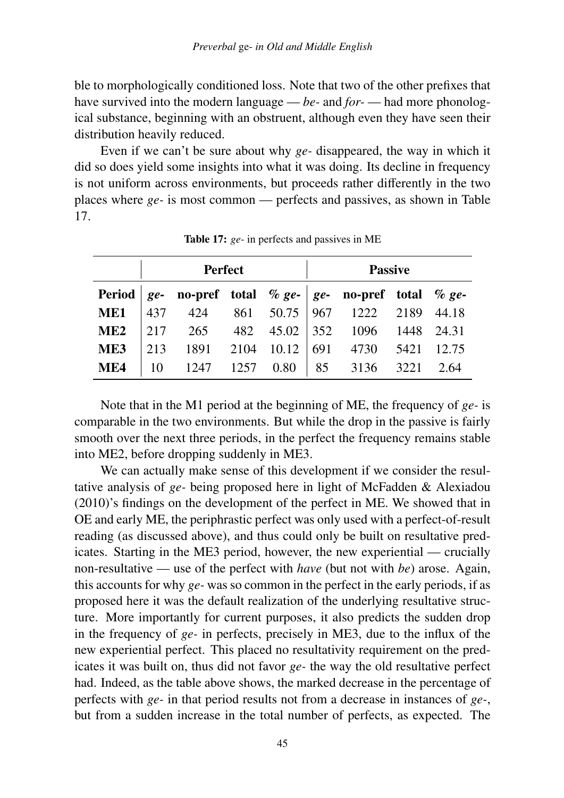ble to morphologically conditioned loss. Note that two of the other prefixes that have survived into the modern language — *be-* and *for-* — had more phonological substance, beginning with an obstruent, although even they have seen their distribution heavily reduced.

Even if we can't be sure about why *ge-* disappeared, the way in which it did so does yield some insights into what it was doing. Its decline in frequency is not uniform across environments, but proceeds rather differently in the two places where *ge-* is most common — perfects and passives, as shown in Table 17.

|     | <b>Perfect</b> |                                                                        |  | <b>Passive</b> |  |                                     |  |  |
|-----|----------------|------------------------------------------------------------------------|--|----------------|--|-------------------------------------|--|--|
|     |                | Period   $ge$ - no-pref total % $ge$ -   $ge$ - no-pref total % $ge$ - |  |                |  |                                     |  |  |
| ME1 |                |                                                                        |  |                |  |                                     |  |  |
|     |                | ME2 217 265 482 45.02 352 1096 1448 24.31                              |  |                |  |                                     |  |  |
| ME3 | 213            |                                                                        |  |                |  | 1891 2104 10.12 691 4730 5421 12.75 |  |  |
| ME4 |                | 10 1247 1257 0.80   85 3136 3221 2.64                                  |  |                |  |                                     |  |  |

Table 17: *ge-* in perfects and passives in ME

Note that in the M1 period at the beginning of ME, the frequency of *ge-* is comparable in the two environments. But while the drop in the passive is fairly smooth over the next three periods, in the perfect the frequency remains stable into ME2, before dropping suddenly in ME3.

We can actually make sense of this development if we consider the resultative analysis of *ge-* being proposed here in light of McFadden & Alexiadou (2010)'s findings on the development of the perfect in ME. We showed that in OE and early ME, the periphrastic perfect was only used with a perfect-of-result reading (as discussed above), and thus could only be built on resultative predicates. Starting in the ME3 period, however, the new experiential — crucially non-resultative — use of the perfect with *have* (but not with *be*) arose. Again, this accounts for why *ge-* was so common in the perfect in the early periods, if as proposed here it was the default realization of the underlying resultative structure. More importantly for current purposes, it also predicts the sudden drop in the frequency of *ge-* in perfects, precisely in ME3, due to the influx of the new experiential perfect. This placed no resultativity requirement on the predicates it was built on, thus did not favor *ge-* the way the old resultative perfect had. Indeed, as the table above shows, the marked decrease in the percentage of perfects with *ge-* in that period results not from a decrease in instances of *ge-*, but from a sudden increase in the total number of perfects, as expected. The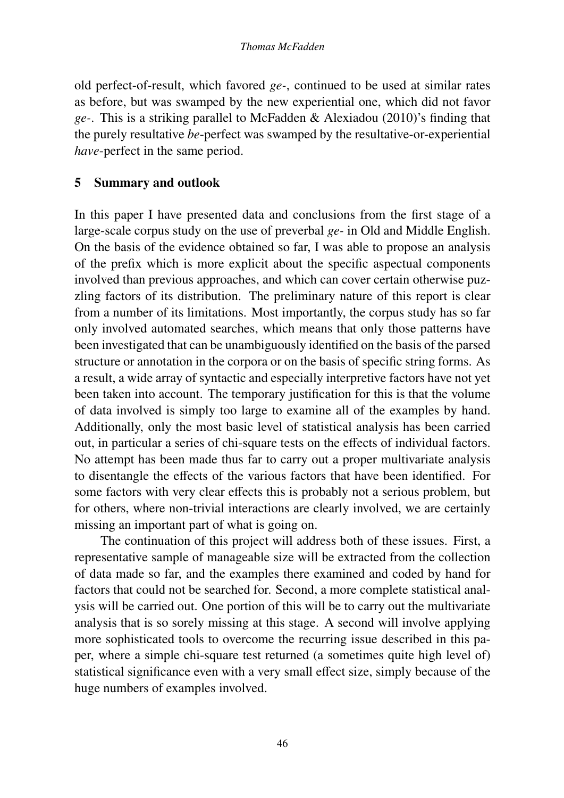old perfect-of-result, which favored *ge-*, continued to be used at similar rates as before, but was swamped by the new experiential one, which did not favor *ge-*. This is a striking parallel to McFadden & Alexiadou (2010)'s finding that the purely resultative *be*-perfect was swamped by the resultative-or-experiential *have*-perfect in the same period.

## 5 Summary and outlook

In this paper I have presented data and conclusions from the first stage of a large-scale corpus study on the use of preverbal *ge-* in Old and Middle English. On the basis of the evidence obtained so far, I was able to propose an analysis of the prefix which is more explicit about the specific aspectual components involved than previous approaches, and which can cover certain otherwise puzzling factors of its distribution. The preliminary nature of this report is clear from a number of its limitations. Most importantly, the corpus study has so far only involved automated searches, which means that only those patterns have been investigated that can be unambiguously identified on the basis of the parsed structure or annotation in the corpora or on the basis of specific string forms. As a result, a wide array of syntactic and especially interpretive factors have not yet been taken into account. The temporary justification for this is that the volume of data involved is simply too large to examine all of the examples by hand. Additionally, only the most basic level of statistical analysis has been carried out, in particular a series of chi-square tests on the effects of individual factors. No attempt has been made thus far to carry out a proper multivariate analysis to disentangle the effects of the various factors that have been identified. For some factors with very clear effects this is probably not a serious problem, but for others, where non-trivial interactions are clearly involved, we are certainly missing an important part of what is going on.

The continuation of this project will address both of these issues. First, a representative sample of manageable size will be extracted from the collection of data made so far, and the examples there examined and coded by hand for factors that could not be searched for. Second, a more complete statistical analysis will be carried out. One portion of this will be to carry out the multivariate analysis that is so sorely missing at this stage. A second will involve applying more sophisticated tools to overcome the recurring issue described in this paper, where a simple chi-square test returned (a sometimes quite high level of) statistical significance even with a very small effect size, simply because of the huge numbers of examples involved.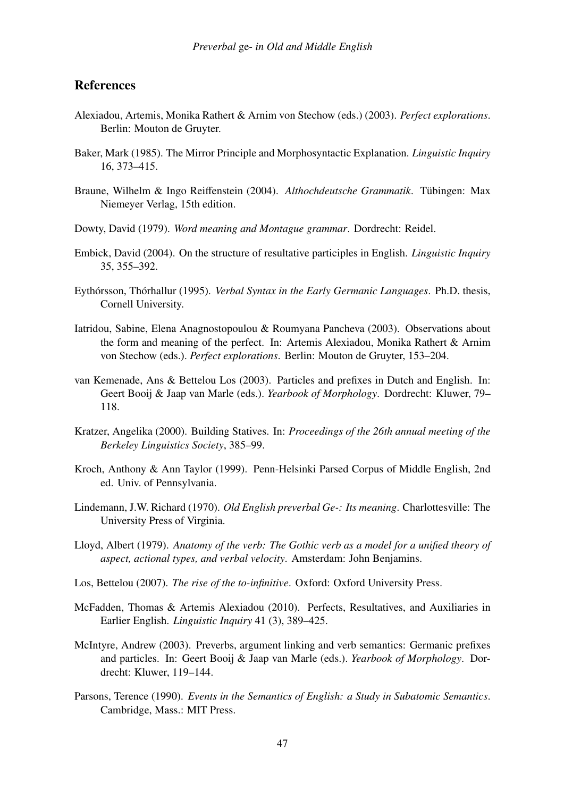#### References

- Alexiadou, Artemis, Monika Rathert & Arnim von Stechow (eds.) (2003). *Perfect explorations*. Berlin: Mouton de Gruyter.
- Baker, Mark (1985). The Mirror Principle and Morphosyntactic Explanation. *Linguistic Inquiry* 16, 373–415.
- Braune, Wilhelm & Ingo Reiffenstein (2004). *Althochdeutsche Grammatik*. Tübingen: Max Niemeyer Verlag, 15th edition.
- Dowty, David (1979). *Word meaning and Montague grammar*. Dordrecht: Reidel.
- Embick, David (2004). On the structure of resultative participles in English. *Linguistic Inquiry* 35, 355–392.
- Eythórsson, Thórhallur (1995). *Verbal Syntax in the Early Germanic Languages*. Ph.D. thesis, Cornell University.
- Iatridou, Sabine, Elena Anagnostopoulou & Roumyana Pancheva (2003). Observations about the form and meaning of the perfect. In: Artemis Alexiadou, Monika Rathert & Arnim von Stechow (eds.). *Perfect explorations*. Berlin: Mouton de Gruyter, 153–204.
- van Kemenade, Ans & Bettelou Los (2003). Particles and prefixes in Dutch and English. In: Geert Booij & Jaap van Marle (eds.). *Yearbook of Morphology*. Dordrecht: Kluwer, 79– 118.
- Kratzer, Angelika (2000). Building Statives. In: *Proceedings of the 26th annual meeting of the Berkeley Linguistics Society*, 385–99.
- Kroch, Anthony & Ann Taylor (1999). Penn-Helsinki Parsed Corpus of Middle English, 2nd ed. Univ. of Pennsylvania.
- Lindemann, J.W. Richard (1970). *Old English preverbal Ge-: Its meaning*. Charlottesville: The University Press of Virginia.
- Lloyd, Albert (1979). *Anatomy of the verb: The Gothic verb as a model for a unified theory of aspect, actional types, and verbal velocity*. Amsterdam: John Benjamins.
- Los, Bettelou (2007). *The rise of the to-infinitive*. Oxford: Oxford University Press.
- McFadden, Thomas & Artemis Alexiadou (2010). Perfects, Resultatives, and Auxiliaries in Earlier English. *Linguistic Inquiry* 41 (3), 389–425.
- McIntyre, Andrew (2003). Preverbs, argument linking and verb semantics: Germanic prefixes and particles. In: Geert Booij & Jaap van Marle (eds.). *Yearbook of Morphology*. Dordrecht: Kluwer, 119–144.
- Parsons, Terence (1990). *Events in the Semantics of English: a Study in Subatomic Semantics*. Cambridge, Mass.: MIT Press.